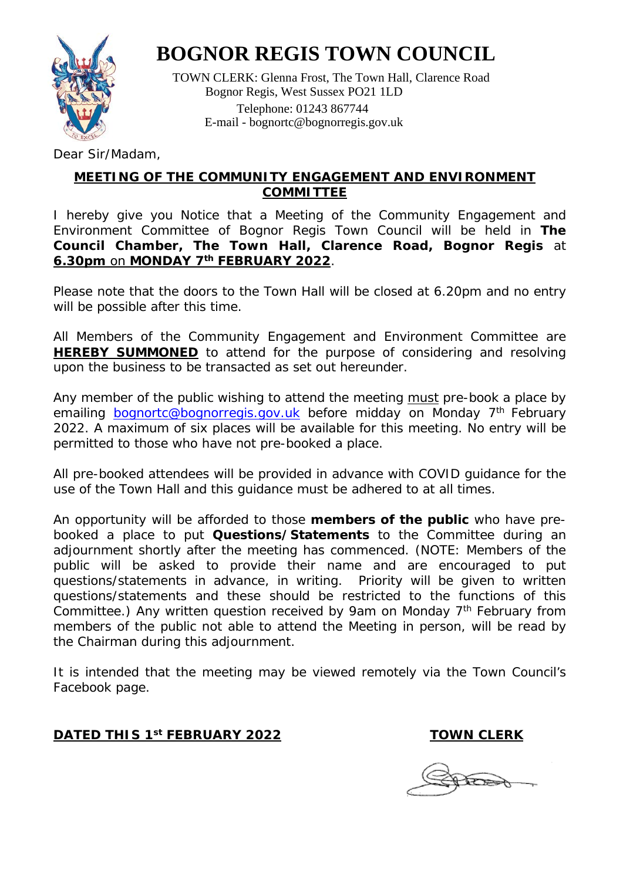

## **BOGNOR REGIS TOWN COUNCIL**

 TOWN CLERK: Glenna Frost, The Town Hall, Clarence Road Bognor Regis, West Sussex PO21 1LD Telephone: 01243 867744 E-mail - [bognortc@bognorregis.gov.uk](mailto:bognortc@bognorregis.gov.uk)

Dear Sir/Madam,

#### **MEETING OF THE COMMUNITY ENGAGEMENT AND ENVIRONMENT COMMITTEE**

I hereby give you Notice that a Meeting of the Community Engagement and Environment Committee of Bognor Regis Town Council will be held in **The Council Chamber, The Town Hall, Clarence Road, Bognor Regis** at **6.30pm** on **MONDAY 7th FEBRUARY 2022**.

Please note that the doors to the Town Hall will be closed at 6.20pm and no entry will be possible after this time.

All Members of the Community Engagement and Environment Committee are **HEREBY SUMMONED** to attend for the purpose of considering and resolving upon the business to be transacted as set out hereunder.

Any member of the public wishing to attend the meeting must pre-book a place by emailing [bognortc@bognorregis.gov.uk](mailto:bognortc@bognorregis.gov.uk) before midday on Monday 7<sup>th</sup> February 2022. A maximum of six places will be available for this meeting. No entry will be permitted to those who have not pre-booked a place.

All pre-booked attendees will be provided in advance with COVID guidance for the use of the Town Hall and this guidance must be adhered to at all times.

An opportunity will be afforded to those **members of the public** who have prebooked a place to put **Questions/Statements** to the Committee during an adjournment shortly after the meeting has commenced. (NOTE: Members of the public will be asked to provide their name and are encouraged to put questions/statements in advance, in writing. Priority will be given to written questions/statements and these should be restricted to the functions of this Committee.) Any written question received by 9am on Monday 7<sup>th</sup> February from members of the public not able to attend the Meeting in person, will be read by the Chairman during this adjournment.

It is intended that the meeting may be viewed remotely via the Town Council's Facebook page.

#### **DATED THIS 1st FEBRUARY 2022** TOWN CLERK

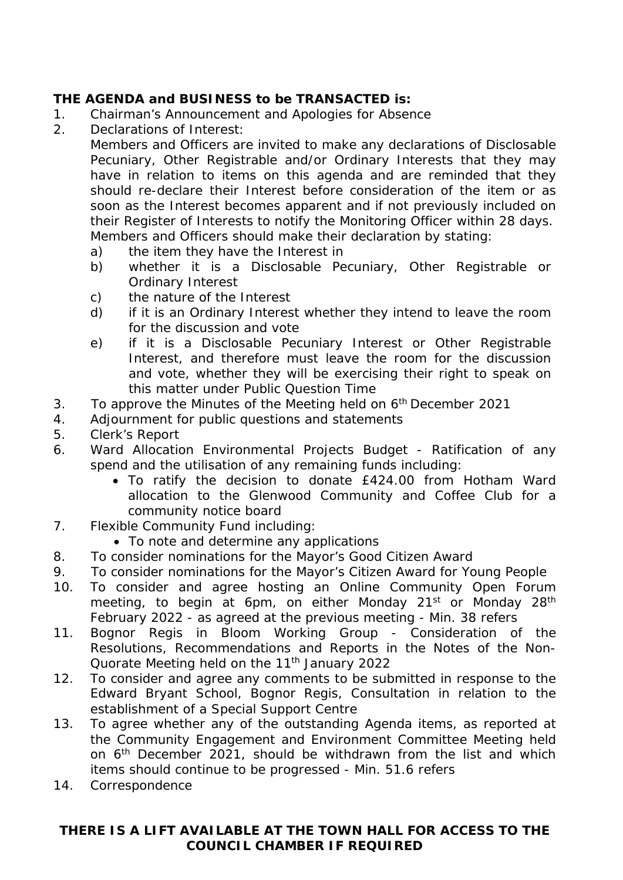#### **THE AGENDA and BUSINESS to be TRANSACTED is:**

- 1. Chairman's Announcement and Apologies for Absence
- 2. Declarations of Interest:

Members and Officers are invited to make any declarations of Disclosable Pecuniary, Other Registrable and/or Ordinary Interests that they may have in relation to items on this agenda and are reminded that they should re-declare their Interest before consideration of the item or as soon as the Interest becomes apparent and if not previously included on their Register of Interests to notify the Monitoring Officer within 28 days. Members and Officers should make their declaration by stating:

- a) the item they have the Interest in
- b) whether it is a Disclosable Pecuniary, Other Registrable or Ordinary Interest
- c) the nature of the Interest
- d) if it is an Ordinary Interest whether they intend to leave the room for the discussion and vote
- e) if it is a Disclosable Pecuniary Interest or Other Registrable Interest, and therefore must leave the room for the discussion and vote, whether they will be exercising their right to speak on this matter under Public Question Time
- 3. To approve the Minutes of the Meeting held on  $6<sup>th</sup>$  December 2021
- 4. Adjournment for public questions and statements
- 5. Clerk's Report
- 6. Ward Allocation Environmental Projects Budget Ratification of any spend and the utilisation of any remaining funds including:
	- To ratify the decision to donate £424.00 from Hotham Ward allocation to the Glenwood Community and Coffee Club for a community notice board
- 7. Flexible Community Fund including:
	- To note and determine any applications
- 8. To consider nominations for the Mayor's Good Citizen Award
- 9. To consider nominations for the Mayor's Citizen Award for Young People
- 10. To consider and agree hosting an Online Community Open Forum meeting, to begin at 6pm, on either Monday 21<sup>st</sup> or Monday 28<sup>th</sup> February 2022 - as agreed at the previous meeting - Min. 38 refers
- 11. Bognor Regis in Bloom Working Group Consideration of the Resolutions, Recommendations and Reports in the Notes of the Non-Quorate Meeting held on the 11<sup>th</sup> January 2022
- 12. To consider and agree any comments to be submitted in response to the Edward Bryant School, Bognor Regis, Consultation in relation to the establishment of a Special Support Centre
- 13. To agree whether any of the outstanding Agenda items, as reported at the Community Engagement and Environment Committee Meeting held on 6th December 2021, should be withdrawn from the list and which items should continue to be progressed - Min. 51.6 refers
- 14. Correspondence

#### **THERE IS A LIFT AVAILABLE AT THE TOWN HALL FOR ACCESS TO THE COUNCIL CHAMBER IF REQUIRED**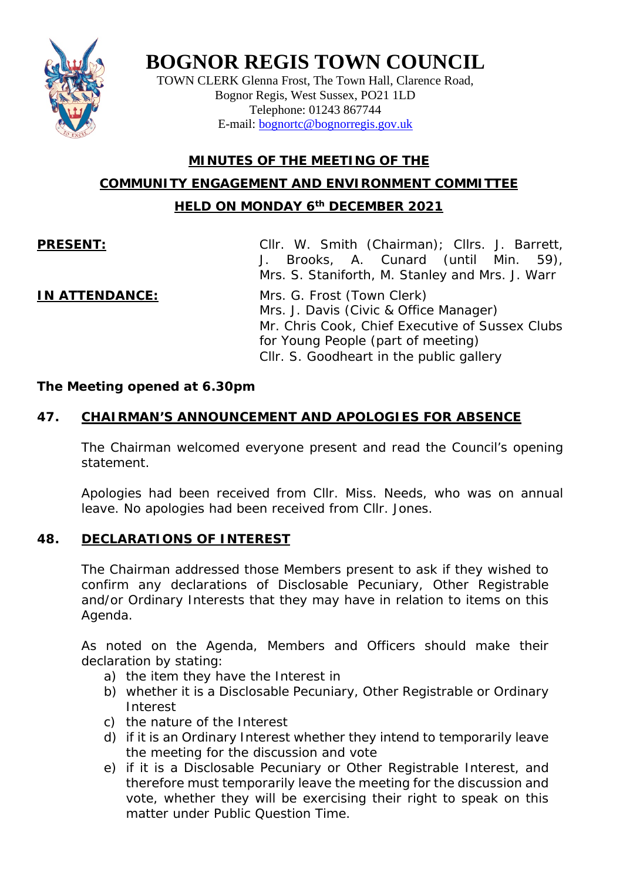

## **BOGNOR REGIS TOWN COUNCIL**

TOWN CLERK Glenna Frost, The Town Hall, Clarence Road, Bognor Regis, West Sussex, PO21 1LD Telephone: 01243 867744 E-mail: [bognortc@bognorregis.gov.uk](mailto:bognortc@bognorregis.gov.uk)

## **MINUTES OF THE MEETING OF THE COMMUNITY ENGAGEMENT AND ENVIRONMENT COMMITTEE HELD ON MONDAY 6th DECEMBER 2021**

**PRESENT:** Cllr. W. Smith (Chairman); Cllrs. J. Barrett, Brooks, A. Cunard (until Min. 59), Mrs. S. Staniforth, M. Stanley and Mrs. J. Warr

**IN ATTENDANCE:** Mrs. G. Frost (Town Clerk) Mrs. J. Davis (Civic & Office Manager) Mr. Chris Cook, Chief Executive of Sussex Clubs for Young People (part of meeting) Cllr. S. Goodheart in the public gallery

#### *The Meeting opened at 6.30pm*

### **47. CHAIRMAN'S ANNOUNCEMENT AND APOLOGIES FOR ABSENCE**

The Chairman welcomed everyone present and read the Council's opening statement.

Apologies had been received from Cllr. Miss. Needs, who was on annual leave. No apologies had been received from Cllr. Jones.

#### **48. DECLARATIONS OF INTEREST**

The Chairman addressed those Members present to ask if they wished to confirm any declarations of Disclosable Pecuniary, Other Registrable and/or Ordinary Interests that they may have in relation to items on this Agenda.

As noted on the Agenda, Members and Officers should make their declaration by stating:

- a) the item they have the Interest in
- b) whether it is a Disclosable Pecuniary, Other Registrable or Ordinary Interest
- c) the nature of the Interest
- d) if it is an Ordinary Interest whether they intend to temporarily leave the meeting for the discussion and vote
- e) if it is a Disclosable Pecuniary or Other Registrable Interest, and therefore must temporarily leave the meeting for the discussion and vote, whether they will be exercising their right to speak on this matter under Public Question Time.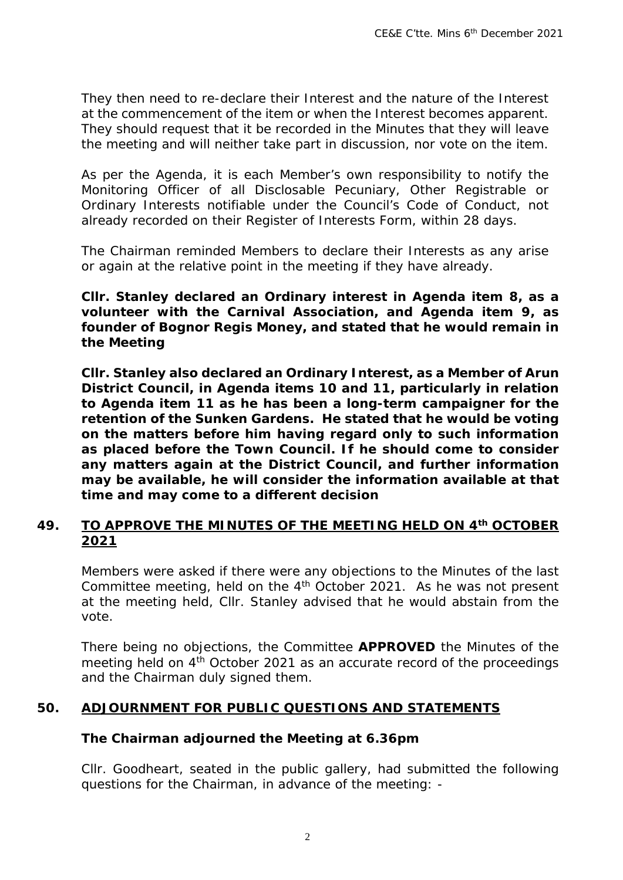They then need to re-declare their Interest and the nature of the Interest at the commencement of the item or when the Interest becomes apparent. They should request that it be recorded in the Minutes that they will leave the meeting and will neither take part in discussion, nor vote on the item.

As per the Agenda, it is each Member's own responsibility to notify the Monitoring Officer of all Disclosable Pecuniary, Other Registrable or Ordinary Interests notifiable under the Council's Code of Conduct, not already recorded on their Register of Interests Form, within 28 days.

The Chairman reminded Members to declare their Interests as any arise or again at the relative point in the meeting if they have already.

*Cllr. Stanley declared an Ordinary interest in Agenda item 8, as a volunteer with the Carnival Association, and Agenda item 9, as founder of Bognor Regis Money, and stated that he would remain in the Meeting*

*Cllr. Stanley also declared an Ordinary Interest, as a Member of Arun District Council, in Agenda items 10 and 11, particularly in relation to Agenda item 11 as he has been a long-term campaigner for the retention of the Sunken Gardens. He stated that he would be voting on the matters before him having regard only to such information as placed before the Town Council. If he should come to consider any matters again at the District Council, and further information may be available, he will consider the information available at that time and may come to a different decision*

#### **49. TO APPROVE THE MINUTES OF THE MEETING HELD ON 4th OCTOBER 2021**

Members were asked if there were any objections to the Minutes of the last Committee meeting, held on the 4<sup>th</sup> October 2021. As he was not present at the meeting held, Cllr. Stanley advised that he would abstain from the vote.

There being no objections, the Committee **APPROVED** the Minutes of the meeting held on 4<sup>th</sup> October 2021 as an accurate record of the proceedings and the Chairman duly signed them.

#### **50. ADJOURNMENT FOR PUBLIC QUESTIONS AND STATEMENTS**

#### *The Chairman adjourned the Meeting at 6.36pm*

Cllr. Goodheart, seated in the public gallery, had submitted the following questions for the Chairman, in advance of the meeting: -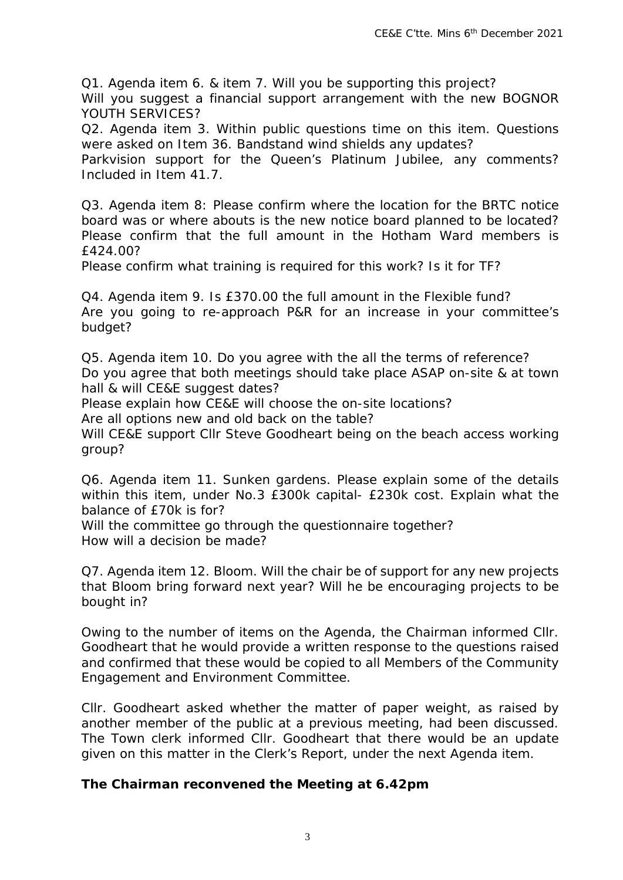*Q1. Agenda item 6. & item 7. Will you be supporting this project? Will you suggest a financial support arrangement with the new BOGNOR YOUTH SERVICES?*

*Q2. Agenda item 3. Within public questions time on this item. Questions were asked on Item 36. Bandstand wind shields any updates?*

*Parkvision support for the Queen's Platinum Jubilee, any comments? Included in Item 41.7.*

*Q3. Agenda item 8: Please confirm where the location for the BRTC notice board was or where abouts is the new notice board planned to be located? Please confirm that the full amount in the Hotham Ward members is £424.00?* 

*Please confirm what training is required for this work? Is it for TF?*

*Q4. Agenda item 9. Is £370.00 the full amount in the Flexible fund? Are you going to re-approach P&R for an increase in your committee's budget?*

*Q5. Agenda item 10. Do you agree with the all the terms of reference? Do you agree that both meetings should take place ASAP on-site & at town hall & will CE&E suggest dates?*

*Please explain how CE&E will choose the on-site locations?*

*Are all options new and old back on the table?*

Will CE&E support Cllr Steve Goodheart being on the beach access working *group?*

*Q6. Agenda item 11. Sunken gardens. Please explain some of the details within this item, under No.3 £300k capital- £230k cost. Explain what the balance of £70k is for?*

*Will the committee go through the questionnaire together? How will a decision be made?*

*Q7. Agenda item 12. Bloom. Will the chair be of support for any new projects that Bloom bring forward next year? Will he be encouraging projects to be bought in?*

Owing to the number of items on the Agenda, the Chairman informed Cllr. Goodheart that he would provide a written response to the questions raised and confirmed that these would be copied to all Members of the Community Engagement and Environment Committee.

Cllr. Goodheart asked whether the matter of paper weight, as raised by another member of the public at a previous meeting, had been discussed. The Town clerk informed Cllr. Goodheart that there would be an update given on this matter in the Clerk's Report, under the next Agenda item.

#### *The Chairman reconvened the Meeting at 6.42pm*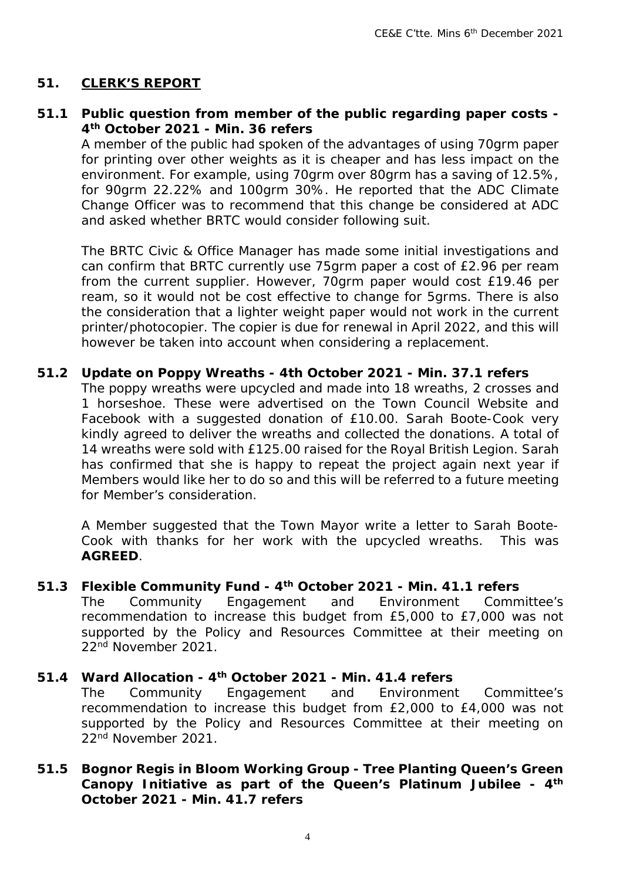#### **51. CLERK'S REPORT**

#### **51.1 Public question from member of the public regarding paper costs - 4th October 2021 - Min. 36 refers**

A member of the public had spoken of the advantages of using 70grm paper for printing over other weights as it is cheaper and has less impact on the environment. For example, using 70grm over 80grm has a saving of 12.5%, for 90grm 22.22% and 100grm 30%. He reported that the ADC Climate Change Officer was to recommend that this change be considered at ADC and asked whether BRTC would consider following suit.

The BRTC Civic & Office Manager has made some initial investigations and can confirm that BRTC currently use 75grm paper a cost of £2.96 per ream from the current supplier. However, 70grm paper would cost £19.46 per ream, so it would not be cost effective to change for 5grms. There is also the consideration that a lighter weight paper would not work in the current printer/photocopier. The copier is due for renewal in April 2022, and this will however be taken into account when considering a replacement.

#### **51.2 Update on Poppy Wreaths - 4th October 2021 - Min. 37.1 refers**

The poppy wreaths were upcycled and made into 18 wreaths, 2 crosses and 1 horseshoe. These were advertised on the Town Council Website and Facebook with a suggested donation of £10.00. Sarah Boote-Cook very kindly agreed to deliver the wreaths and collected the donations. A total of 14 wreaths were sold with £125.00 raised for the Royal British Legion. Sarah has confirmed that she is happy to repeat the project again next year if Members would like her to do so and this will be referred to a future meeting for Member's consideration.

A Member suggested that the Town Mayor write a letter to Sarah Boote-Cook with thanks for her work with the upcycled wreaths. This was **AGREED**.

#### **51.3 Flexible Community Fund - 4th October 2021 - Min. 41.1 refers**

The Community Engagement and Environment Committee's recommendation to increase this budget from £5,000 to £7,000 was not supported by the Policy and Resources Committee at their meeting on 22nd November 2021.

#### **51.4 Ward Allocation - 4th October 2021 - Min. 41.4 refers**

The Community Engagement and Environment Committee's recommendation to increase this budget from £2,000 to £4,000 was not supported by the Policy and Resources Committee at their meeting on 22nd November 2021.

#### **51.5 Bognor Regis in Bloom Working Group - Tree Planting Queen's Green Canopy Initiative as part of the Queen's Platinum Jubilee - 4th October 2021 - Min. 41.7 refers**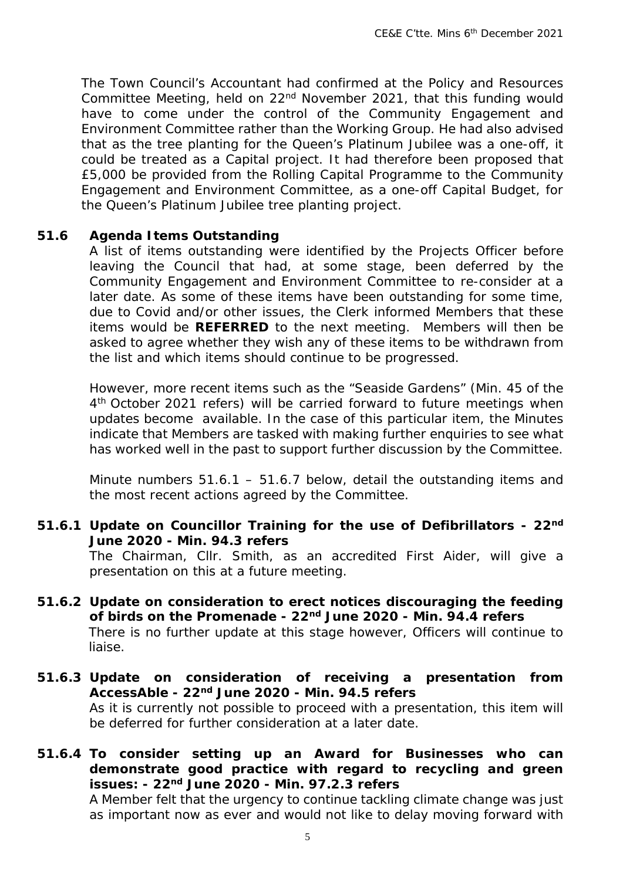The Town Council's Accountant had confirmed at the Policy and Resources Committee Meeting, held on 22nd November 2021, that this funding would have to come under the control of the Community Engagement and Environment Committee rather than the Working Group. He had also advised that as the tree planting for the Queen's Platinum Jubilee was a one-off, it could be treated as a Capital project. It had therefore been proposed that £5,000 be provided from the Rolling Capital Programme to the Community Engagement and Environment Committee, as a one-off Capital Budget, for the Queen's Platinum Jubilee tree planting project.

#### **51.6 Agenda Items Outstanding**

A list of items outstanding were identified by the Projects Officer before leaving the Council that had, at some stage, been deferred by the Community Engagement and Environment Committee to re-consider at a later date. As some of these items have been outstanding for some time, due to Covid and/or other issues, the Clerk informed Members that these items would be **REFERRED** to the next meeting. Members will then be asked to agree whether they wish any of these items to be withdrawn from the list and which items should continue to be progressed.

However, more recent items such as the "Seaside Gardens" (Min. 45 of the 4<sup>th</sup> October 2021 refers) will be carried forward to future meetings when updates become available. In the case of this particular item, the Minutes indicate that Members are tasked with making further enquiries to see what has worked well in the past to support further discussion by the Committee.

Minute numbers 51.6.1 – 51.6.7 below, detail the outstanding items and the most recent actions agreed by the Committee.

**51.6.1 Update on Councillor Training for the use of Defibrillators - 22nd June 2020 - Min. 94.3 refers**

> The Chairman, Cllr. Smith, as an accredited First Aider, will give a presentation on this at a future meeting.

- **51.6.2 Update on consideration to erect notices discouraging the feeding of birds on the Promenade - 22nd June 2020 - Min. 94.4 refers** There is no further update at this stage however, Officers will continue to liaise.
- **51.6.3 Update on consideration of receiving a presentation from AccessAble - 22nd June 2020 - Min. 94.5 refers** As it is currently not possible to proceed with a presentation, this item will be deferred for further consideration at a later date.
- **51.6.4 To consider setting up an Award for Businesses who can demonstrate good practice with regard to recycling and green issues: - 22nd June 2020 - Min. 97.2.3 refers**

A Member felt that the urgency to continue tackling climate change was just as important now as ever and would not like to delay moving forward with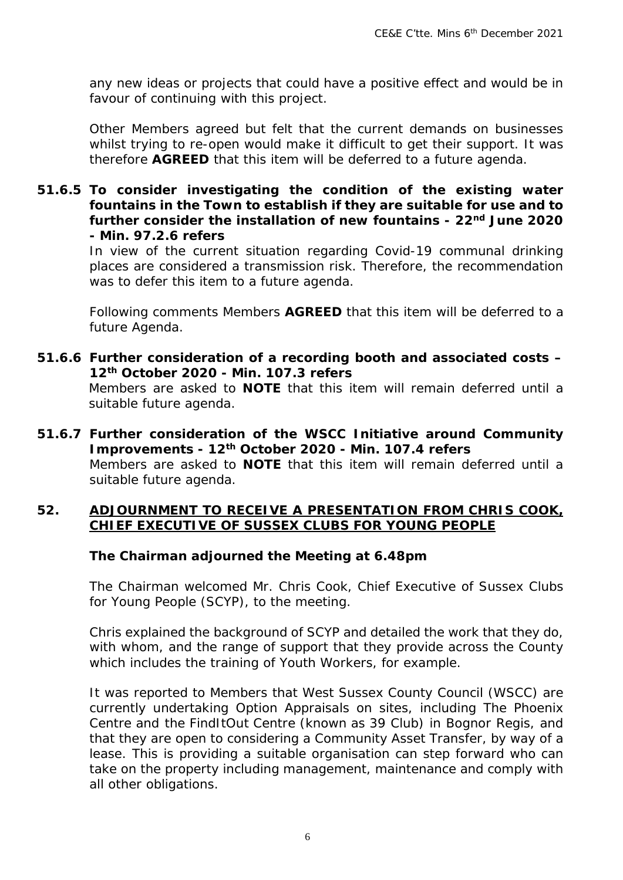any new ideas or projects that could have a positive effect and would be in favour of continuing with this project.

Other Members agreed but felt that the current demands on businesses whilst trying to re-open would make it difficult to get their support. It was therefore **AGREED** that this item will be deferred to a future agenda.

#### **51.6.5 To consider investigating the condition of the existing water fountains in the Town to establish if they are suitable for use and to further consider the installation of new fountains - 22nd June 2020 - Min. 97.2.6 refers**

In view of the current situation regarding Covid-19 communal drinking places are considered a transmission risk. Therefore, the recommendation was to defer this item to a future agenda.

Following comments Members **AGREED** that this item will be deferred to a future Agenda.

- **51.6.6 Further consideration of a recording booth and associated costs 12th October 2020 - Min. 107.3 refers**  Members are asked to **NOTE** that this item will remain deferred until a suitable future agenda.
- **51.6.7 Further consideration of the WSCC Initiative around Community Improvements - 12th October 2020 - Min. 107.4 refers** Members are asked to **NOTE** that this item will remain deferred until a suitable future agenda.

#### **52. ADJOURNMENT TO RECEIVE A PRESENTATION FROM CHRIS COOK, CHIEF EXECUTIVE OF SUSSEX CLUBS FOR YOUNG PEOPLE**

#### *The Chairman adjourned the Meeting at 6.48pm*

The Chairman welcomed Mr. Chris Cook, Chief Executive of Sussex Clubs for Young People (SCYP), to the meeting.

Chris explained the background of SCYP and detailed the work that they do, with whom, and the range of support that they provide across the County which includes the training of Youth Workers, for example.

It was reported to Members that West Sussex County Council (WSCC) are currently undertaking Option Appraisals on sites, including The Phoenix Centre and the FindItOut Centre (known as 39 Club) in Bognor Regis, and that they are open to considering a Community Asset Transfer, by way of a lease. This is providing a suitable organisation can step forward who can take on the property including management, maintenance and comply with all other obligations.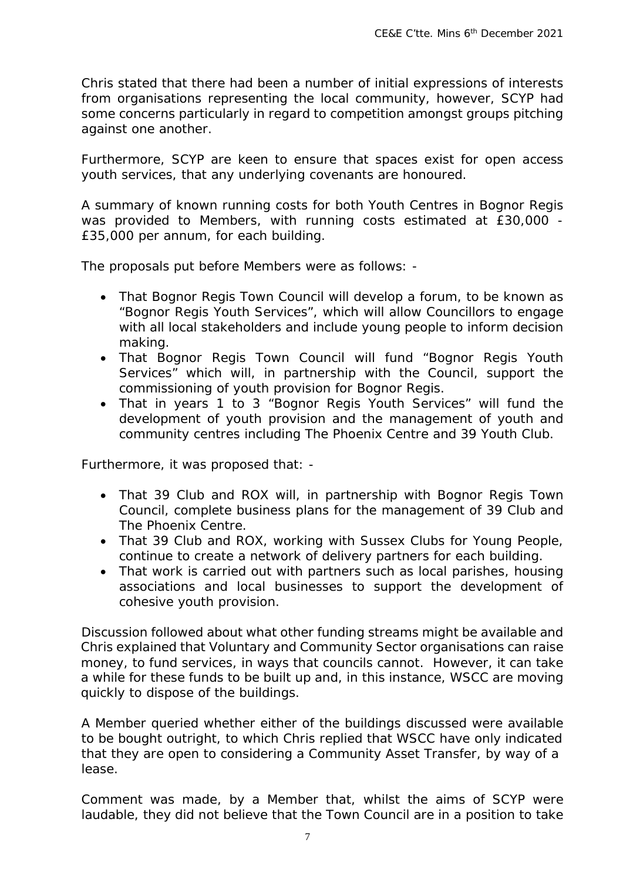Chris stated that there had been a number of initial expressions of interests from organisations representing the local community, however, SCYP had some concerns particularly in regard to competition amongst groups pitching against one another.

Furthermore, SCYP are keen to ensure that spaces exist for open access youth services, that any underlying covenants are honoured.

A summary of known running costs for both Youth Centres in Bognor Regis was provided to Members, with running costs estimated at £30,000 - £35,000 per annum, for each building.

The proposals put before Members were as follows: -

- That Bognor Regis Town Council will develop a forum, to be known as "Bognor Regis Youth Services", which will allow Councillors to engage with all local stakeholders and include young people to inform decision making.
- That Bognor Regis Town Council will fund "Bognor Regis Youth Services" which will, in partnership with the Council, support the commissioning of youth provision for Bognor Regis.
- That in years 1 to 3 "Bognor Regis Youth Services" will fund the development of youth provision and the management of youth and community centres including The Phoenix Centre and 39 Youth Club.

Furthermore, it was proposed that: -

- That 39 Club and ROX will, in partnership with Bognor Regis Town Council, complete business plans for the management of 39 Club and The Phoenix Centre.
- That 39 Club and ROX, working with Sussex Clubs for Young People, continue to create a network of delivery partners for each building.
- That work is carried out with partners such as local parishes, housing associations and local businesses to support the development of cohesive youth provision.

Discussion followed about what other funding streams might be available and Chris explained that Voluntary and Community Sector organisations can raise money, to fund services, in ways that councils cannot. However, it can take a while for these funds to be built up and, in this instance, WSCC are moving quickly to dispose of the buildings.

A Member queried whether either of the buildings discussed were available to be bought outright, to which Chris replied that WSCC have only indicated that they are open to considering a Community Asset Transfer, by way of a lease.

Comment was made, by a Member that, whilst the aims of SCYP were laudable, they did not believe that the Town Council are in a position to take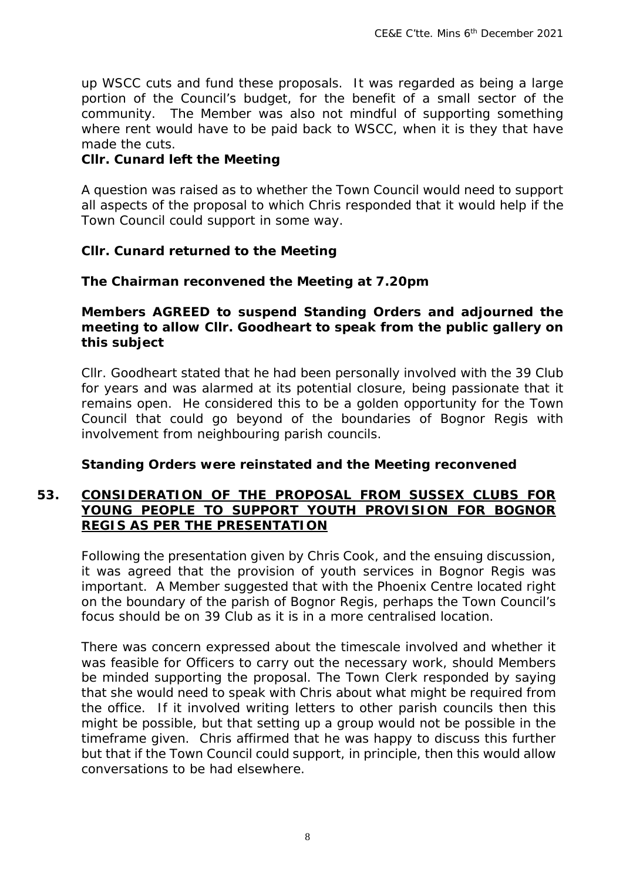up WSCC cuts and fund these proposals. It was regarded as being a large portion of the Council's budget, for the benefit of a small sector of the community. The Member was also not mindful of supporting something where rent would have to be paid back to WSCC, when it is they that have made the cuts.

#### *Cllr. Cunard left the Meeting*

A question was raised as to whether the Town Council would need to support all aspects of the proposal to which Chris responded that it would help if the Town Council could support in some way.

#### *Cllr. Cunard returned to the Meeting*

#### *The Chairman reconvened the Meeting at 7.20pm*

#### *Members AGREED to suspend Standing Orders and adjourned the meeting to allow Cllr. Goodheart to speak from the public gallery on this subject*

Cllr. Goodheart stated that he had been personally involved with the 39 Club for years and was alarmed at its potential closure, being passionate that it remains open. He considered this to be a golden opportunity for the Town Council that could go beyond of the boundaries of Bognor Regis with involvement from neighbouring parish councils.

#### *Standing Orders were reinstated and the Meeting reconvened*

#### **53. CONSIDERATION OF THE PROPOSAL FROM SUSSEX CLUBS FOR YOUNG PEOPLE TO SUPPORT YOUTH PROVISION FOR BOGNOR REGIS AS PER THE PRESENTATION**

Following the presentation given by Chris Cook, and the ensuing discussion, it was agreed that the provision of youth services in Bognor Regis was important. A Member suggested that with the Phoenix Centre located right on the boundary of the parish of Bognor Regis, perhaps the Town Council's focus should be on 39 Club as it is in a more centralised location.

There was concern expressed about the timescale involved and whether it was feasible for Officers to carry out the necessary work, should Members be minded supporting the proposal. The Town Clerk responded by saying that she would need to speak with Chris about what might be required from the office. If it involved writing letters to other parish councils then this might be possible, but that setting up a group would not be possible in the timeframe given. Chris affirmed that he was happy to discuss this further but that if the Town Council could support, in principle, then this would allow conversations to be had elsewhere.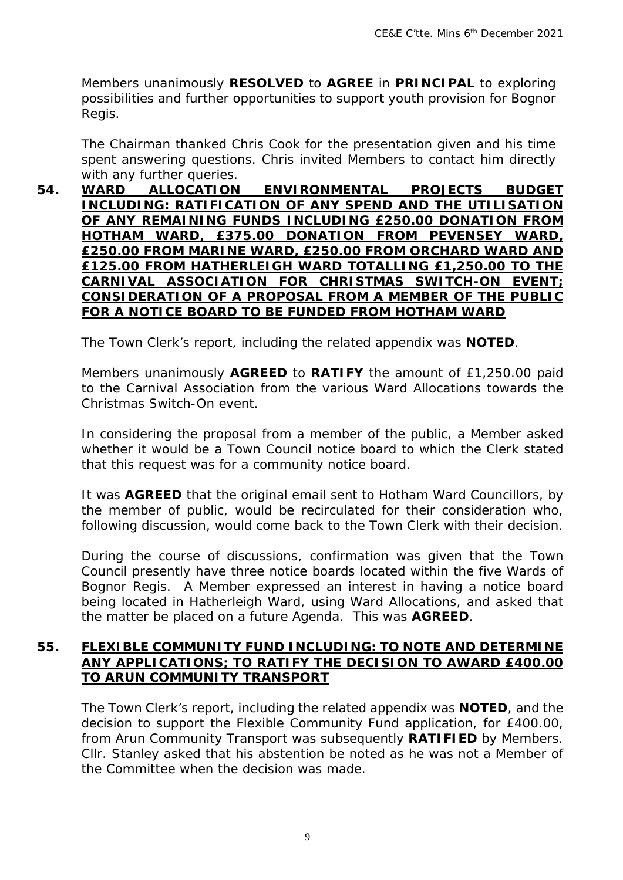Members unanimously **RESOLVED** to **AGREE** in **PRINCIPAL** to exploring possibilities and further opportunities to support youth provision for Bognor Regis.

The Chairman thanked Chris Cook for the presentation given and his time spent answering questions. Chris invited Members to contact him directly with any further queries.<br>**WARD** ALLOCATION

**54. WARD ALLOCATION ENVIRONMENTAL PROJECTS BUDGET INCLUDING: RATIFICATION OF ANY SPEND AND THE UTILISATION OF ANY REMAINING FUNDS INCLUDING £250.00 DONATION FROM HOTHAM WARD, £375.00 DONATION FROM PEVENSEY WARD, £250.00 FROM MARINE WARD, £250.00 FROM ORCHARD WARD AND £125.00 FROM HATHERLEIGH WARD TOTALLING £1,250.00 TO THE CARNIVAL ASSOCIATION FOR CHRISTMAS SWITCH-ON EVENT; CONSIDERATION OF A PROPOSAL FROM A MEMBER OF THE PUBLIC FOR A NOTICE BOARD TO BE FUNDED FROM HOTHAM WARD**

The Town Clerk's report, including the related appendix was **NOTED**.

Members unanimously **AGREED** to **RATIFY** the amount of £1,250.00 paid to the Carnival Association from the various Ward Allocations towards the Christmas Switch-On event.

In considering the proposal from a member of the public, a Member asked whether it would be a Town Council notice board to which the Clerk stated that this request was for a community notice board.

It was **AGREED** that the original email sent to Hotham Ward Councillors, by the member of public, would be recirculated for their consideration who, following discussion, would come back to the Town Clerk with their decision.

During the course of discussions, confirmation was given that the Town Council presently have three notice boards located within the five Wards of Bognor Regis. A Member expressed an interest in having a notice board being located in Hatherleigh Ward, using Ward Allocations, and asked that the matter be placed on a future Agenda. This was **AGREED**.

#### **55. FLEXIBLE COMMUNITY FUND INCLUDING: TO NOTE AND DETERMINE ANY APPLICATIONS; TO RATIFY THE DECISION TO AWARD £400.00 TO ARUN COMMUNITY TRANSPORT**

The Town Clerk's report, including the related appendix was **NOTED**, and the decision to support the Flexible Community Fund application, for £400.00, from Arun Community Transport was subsequently **RATIFIED** by Members. Cllr. Stanley asked that his abstention be noted as he was not a Member of the Committee when the decision was made.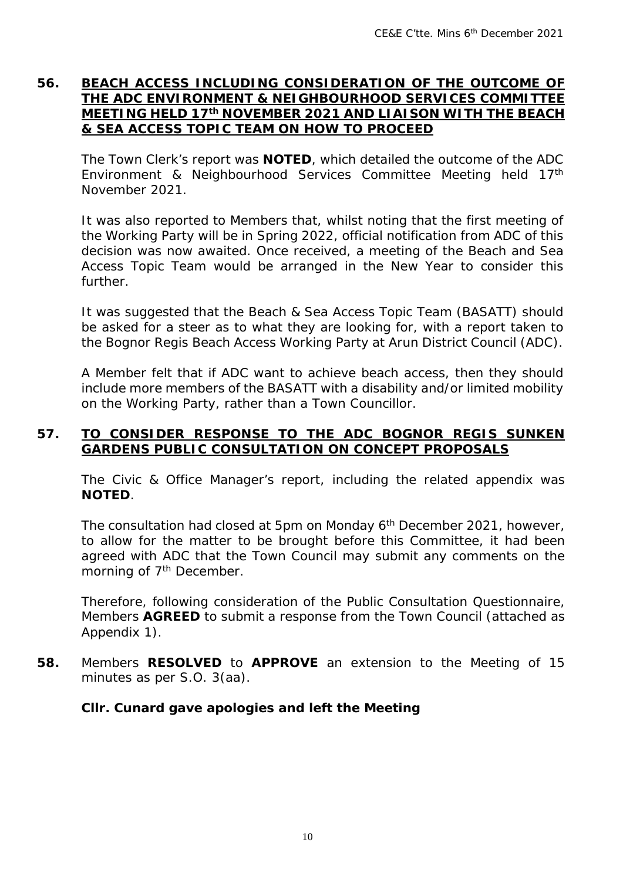#### **56. BEACH ACCESS INCLUDING CONSIDERATION OF THE OUTCOME OF THE ADC ENVIRONMENT & NEIGHBOURHOOD SERVICES COMMITTEE MEETING HELD 17th NOVEMBER 2021 AND LIAISON WITH THE BEACH & SEA ACCESS TOPIC TEAM ON HOW TO PROCEED**

The Town Clerk's report was **NOTED**, which detailed the outcome of the ADC Environment & Neighbourhood Services Committee Meeting held 17th November 2021.

It was also reported to Members that, whilst noting that the first meeting of the Working Party will be in Spring 2022, official notification from ADC of this decision was now awaited. Once received, a meeting of the Beach and Sea Access Topic Team would be arranged in the New Year to consider this further.

It was suggested that the Beach & Sea Access Topic Team (BASATT) should be asked for a steer as to what they are looking for, with a report taken to the Bognor Regis Beach Access Working Party at Arun District Council (ADC).

A Member felt that if ADC want to achieve beach access, then they should include more members of the BASATT with a disability and/or limited mobility on the Working Party, rather than a Town Councillor.

#### **57. TO CONSIDER RESPONSE TO THE ADC BOGNOR REGIS SUNKEN GARDENS PUBLIC CONSULTATION ON CONCEPT PROPOSALS**

The Civic & Office Manager's report, including the related appendix was **NOTED**.

The consultation had closed at 5pm on Monday 6<sup>th</sup> December 2021, however, to allow for the matter to be brought before this Committee, it had been agreed with ADC that the Town Council may submit any comments on the morning of 7<sup>th</sup> December.

Therefore, following consideration of the Public Consultation Questionnaire, Members **AGREED** to submit a response from the Town Council (attached as Appendix 1).

**58.** Members **RESOLVED** to **APPROVE** an extension to the Meeting of 15 minutes as per S.O. 3(aa).

#### *Cllr. Cunard gave apologies and left the Meeting*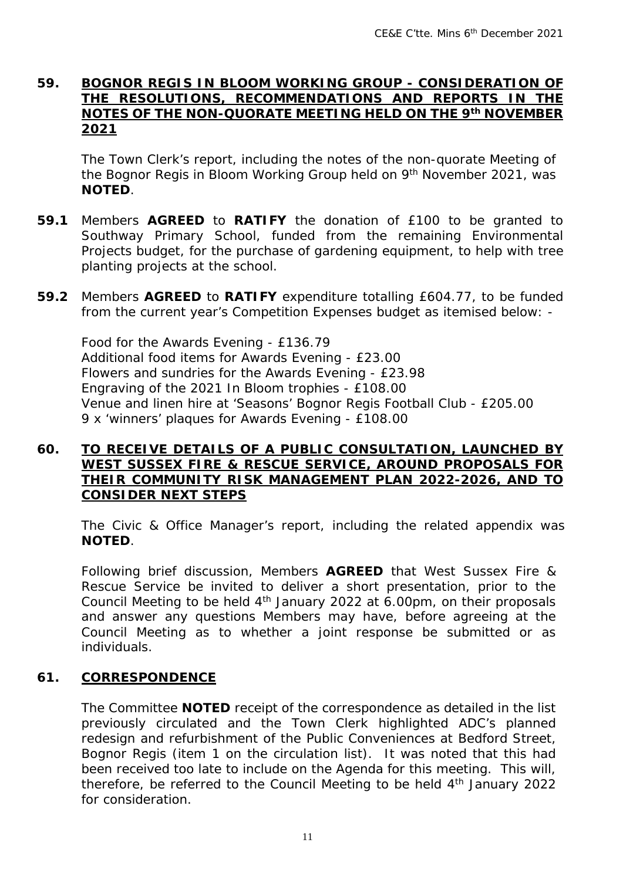#### **59. BOGNOR REGIS IN BLOOM WORKING GROUP - CONSIDERATION OF THE RESOLUTIONS, RECOMMENDATIONS AND REPORTS IN THE NOTES OF THE NON-QUORATE MEETING HELD ON THE 9th NOVEMBER 2021**

The Town Clerk's report, including the notes of the non-quorate Meeting of the Bognor Regis in Bloom Working Group held on 9<sup>th</sup> November 2021, was **NOTED**.

- **59.1** Members **AGREED** to **RATIFY** the donation of £100 to be granted to Southway Primary School, funded from the remaining Environmental Projects budget, for the purchase of gardening equipment, to help with tree planting projects at the school.
- **59.2** Members **AGREED** to **RATIFY** expenditure totalling £604.77, to be funded from the current year's Competition Expenses budget as itemised below: -

Food for the Awards Evening - £136.79 Additional food items for Awards Evening - £23.00 Flowers and sundries for the Awards Evening - £23.98 Engraving of the 2021 In Bloom trophies - £108.00 Venue and linen hire at 'Seasons' Bognor Regis Football Club - £205.00 9 x 'winners' plaques for Awards Evening - £108.00

#### **60. TO RECEIVE DETAILS OF A PUBLIC CONSULTATION, LAUNCHED BY WEST SUSSEX FIRE & RESCUE SERVICE, AROUND PROPOSALS FOR THEIR COMMUNITY RISK MANAGEMENT PLAN 2022-2026, AND TO CONSIDER NEXT STEPS**

The Civic & Office Manager's report, including the related appendix was **NOTED**.

Following brief discussion, Members **AGREED** that West Sussex Fire & Rescue Service be invited to deliver a short presentation, prior to the Council Meeting to be held 4th January 2022 at 6.00pm, on their proposals and answer any questions Members may have, before agreeing at the Council Meeting as to whether a joint response be submitted or as individuals.

#### **61. CORRESPONDENCE**

The Committee **NOTED** receipt of the correspondence as detailed in the list previously circulated and the Town Clerk highlighted ADC's planned redesign and refurbishment of the Public Conveniences at Bedford Street, Bognor Regis (item 1 on the circulation list). It was noted that this had been received too late to include on the Agenda for this meeting. This will, therefore, be referred to the Council Meeting to be held  $4<sup>th</sup>$  January 2022 for consideration.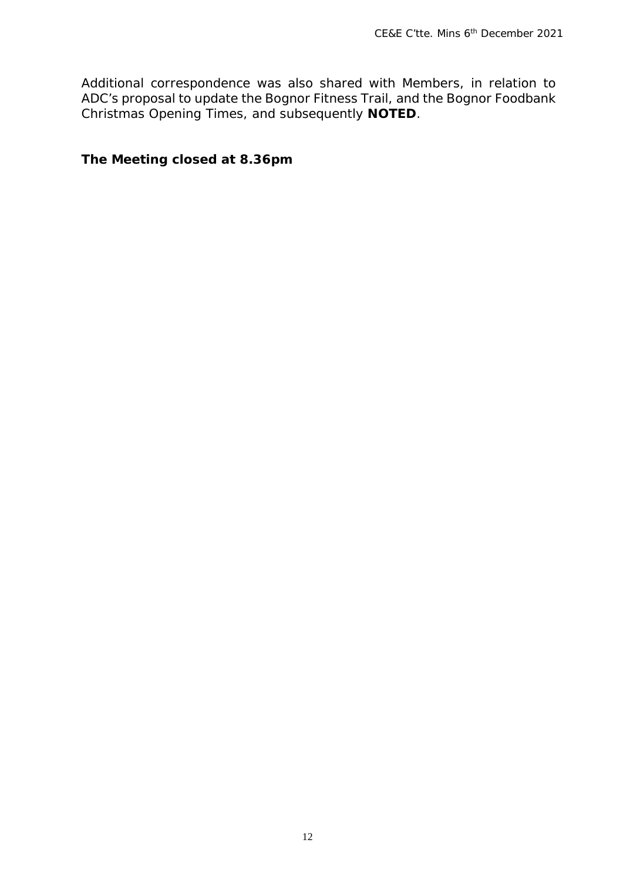Additional correspondence was also shared with Members, in relation to ADC's proposal to update the Bognor Fitness Trail, and the Bognor Foodbank Christmas Opening Times, and subsequently **NOTED**.

*The Meeting closed at 8.36pm*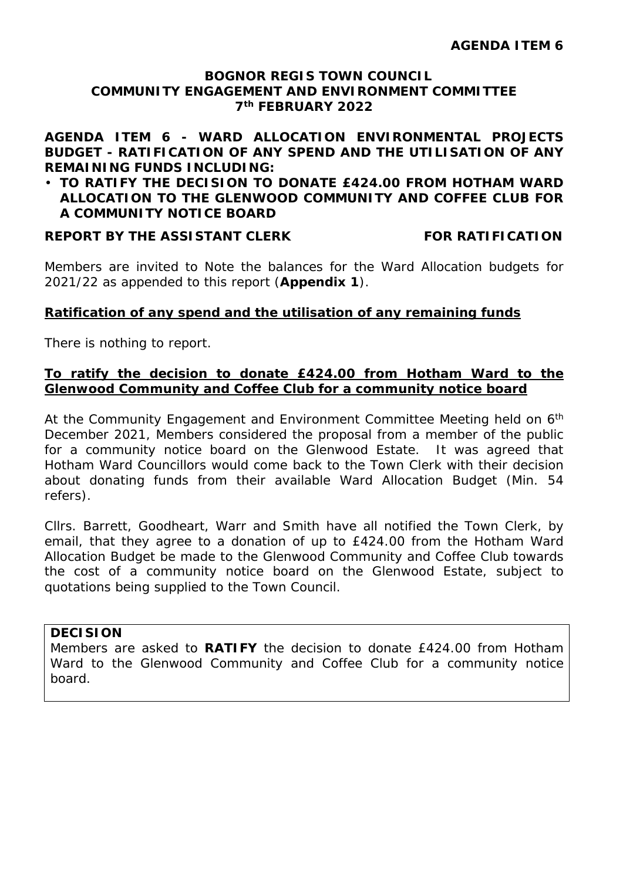#### **BOGNOR REGIS TOWN COUNCIL COMMUNITY ENGAGEMENT AND ENVIRONMENT COMMITTEE 7th FEBRUARY 2022**

**AGENDA ITEM 6 - WARD ALLOCATION ENVIRONMENTAL PROJECTS BUDGET - RATIFICATION OF ANY SPEND AND THE UTILISATION OF ANY REMAINING FUNDS INCLUDING:** 

#### **TO RATIFY THE DECISION TO DONATE £424.00 FROM HOTHAM WARD ALLOCATION TO THE GLENWOOD COMMUNITY AND COFFEE CLUB FOR A COMMUNITY NOTICE BOARD**

#### **REPORT BY THE ASSISTANT CLERK FOR RATIFICATION**

Members are invited to Note the balances for the Ward Allocation budgets for 2021/22 as appended to this report (**Appendix 1**).

#### **Ratification of any spend and the utilisation of any remaining funds**

There is nothing to report.

#### **To ratify the decision to donate £424.00 from Hotham Ward to the Glenwood Community and Coffee Club for a community notice board**

At the Community Engagement and Environment Committee Meeting held on 6<sup>th</sup> December 2021, Members considered the proposal from a member of the public for a community notice board on the Glenwood Estate. It was agreed that Hotham Ward Councillors would come back to the Town Clerk with their decision about donating funds from their available Ward Allocation Budget (Min. 54 refers).

Cllrs. Barrett, Goodheart, Warr and Smith have all notified the Town Clerk, by email, that they agree to a donation of up to £424.00 from the Hotham Ward Allocation Budget be made to the Glenwood Community and Coffee Club towards the cost of a community notice board on the Glenwood Estate, subject to quotations being supplied to the Town Council.

#### **DECISION**

Members are asked to **RATIFY** the decision to donate £424.00 from Hotham Ward to the Glenwood Community and Coffee Club for a community notice board.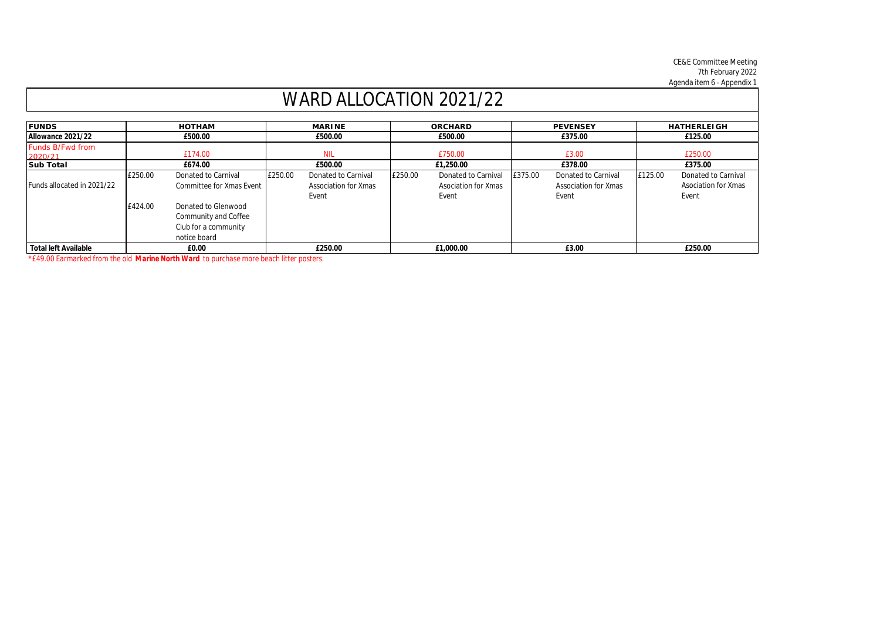CE&E Committee Meeting 7th February 2022 Agenda item 6 - Appendix 1

| WARD ALLOCATION 2021/22            |         |                                                                                     |            |                      |         |                     |         |                             |         |                            |
|------------------------------------|---------|-------------------------------------------------------------------------------------|------------|----------------------|---------|---------------------|---------|-----------------------------|---------|----------------------------|
| <b>FUNDS</b>                       |         | <b>HOTHAM</b>                                                                       |            | <b>MARINE</b>        |         | <b>ORCHARD</b>      |         | <b>PEVENSEY</b>             |         | <b>HATHERLEIGH</b>         |
| Allowance 2021/22                  | £500.00 |                                                                                     | £500.00    |                      | £500.00 |                     | £375.00 |                             | £125.00 |                            |
| <b>Funds B/Fwd from</b><br>2020/21 | £174.00 |                                                                                     | <b>NIL</b> |                      | £750.00 |                     | £3.00   |                             | £250.00 |                            |
| <b>Sub Total</b>                   |         | £674.00                                                                             |            | £500.00              |         | £1,250.00           |         | £378.00                     |         | £375.00                    |
|                                    | £250.00 | Donated to Carnival                                                                 | £250.00    | Donated to Carnival  | £250.00 | Donated to Carnival | £375.00 | Donated to Carnival         | £125.00 | Donated to Carnival        |
| Funds allocated in 2021/22         |         | Committee for Xmas Event                                                            |            | Association for Xmas |         | Asociation for Xmas |         | <b>Association for Xmas</b> |         | <b>Asociation for Xmas</b> |
|                                    | £424.00 | Donated to Glenwood<br>Community and Coffee<br>Club for a community<br>notice board |            | Event                |         | Event               |         | Event                       |         | Event                      |
| <b>Total left Available</b>        |         | £0.00                                                                               |            | £250.00              |         | £1,000.00           |         | £3.00                       |         | £250.00                    |

*\*£49.00 Earmarked from the old Marine North Ward to purchase more beach litter posters.*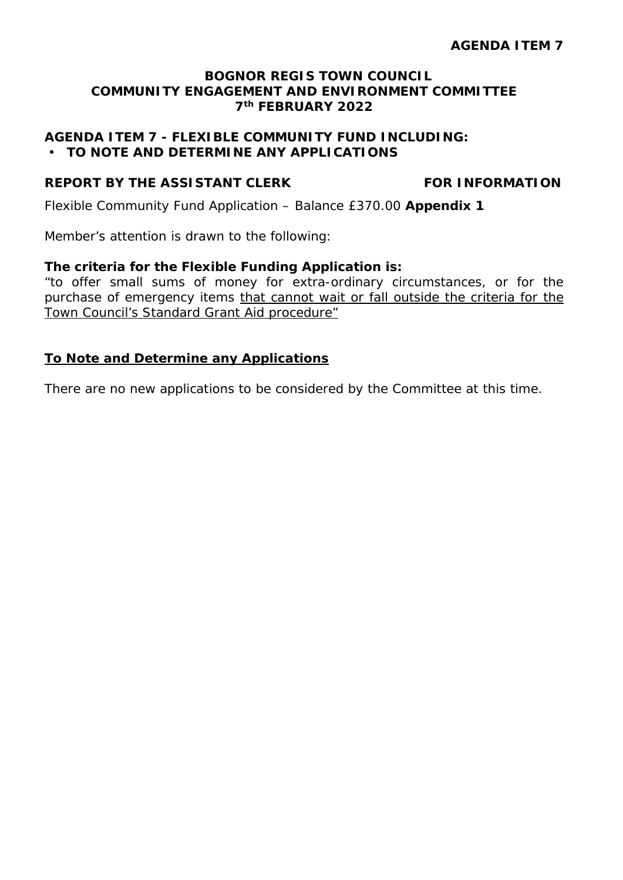#### **BOGNOR REGIS TOWN COUNCIL COMMUNITY ENGAGEMENT AND ENVIRONMENT COMMITTEE 7th FEBRUARY 2022**

#### **AGENDA ITEM 7 - FLEXIBLE COMMUNITY FUND INCLUDING: TO NOTE AND DETERMINE ANY APPLICATIONS**

#### **REPORT BY THE ASSISTANT CLERK FOR INFORMATION**

Flexible Community Fund Application – Balance £370.00 **Appendix 1**

Member's attention is drawn to the following:

#### **The criteria for the Flexible Funding Application is:**

"to offer small sums of money for extra-ordinary circumstances, or for the purchase of emergency items that cannot wait or fall outside the criteria for the Town Council's Standard Grant Aid procedure"

#### **To Note and Determine any Applications**

There are no new applications to be considered by the Committee at this time.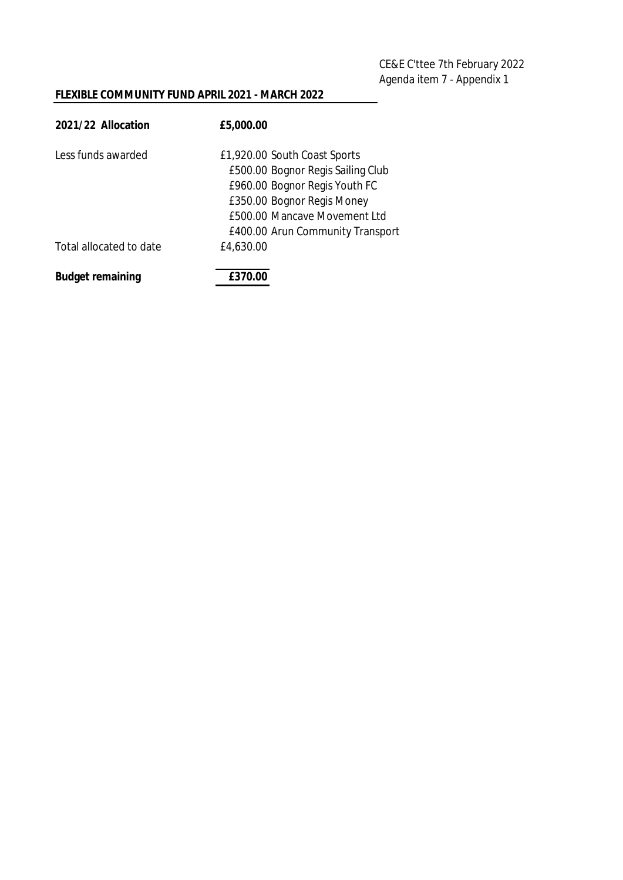CE&E C'ttee 7th February 2022 Agenda item 7 - Appendix 1

#### **FLEXIBLE COMMUNITY FUND APRIL 2021 - MARCH 2022**

| 2021/22 Allocation      | £5,000.00                                                                                                                                                                                            |
|-------------------------|------------------------------------------------------------------------------------------------------------------------------------------------------------------------------------------------------|
| Less funds awarded      | £1,920.00 South Coast Sports<br>£500.00 Bognor Regis Sailing Club<br>£960.00 Bognor Regis Youth FC<br>£350.00 Bognor Regis Money<br>£500.00 Mancave Movement Ltd<br>£400.00 Arun Community Transport |
| Total allocated to date | £4,630.00                                                                                                                                                                                            |
| <b>Budget remaining</b> | £370.00                                                                                                                                                                                              |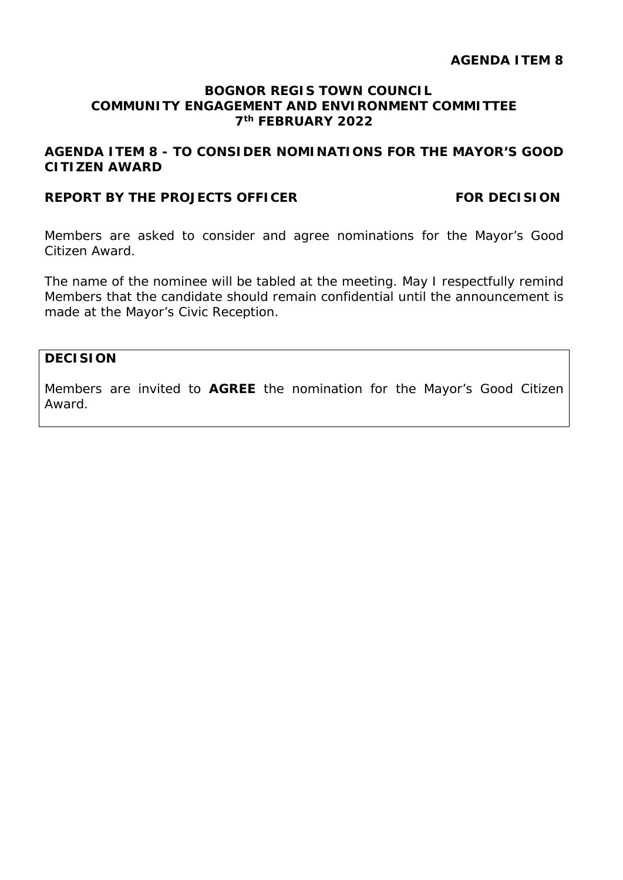#### **AGENDA ITEM 8**

#### **BOGNOR REGIS TOWN COUNCIL COMMUNITY ENGAGEMENT AND ENVIRONMENT COMMITTEE 7th FEBRUARY 2022**

#### **AGENDA ITEM 8 - TO CONSIDER NOMINATIONS FOR THE MAYOR'S GOOD CITIZEN AWARD**

#### **REPORT BY THE PROJECTS OFFICER FOR DECISION**

Members are asked to consider and agree nominations for the Mayor's Good Citizen Award.

The name of the nominee will be tabled at the meeting. May I respectfully remind Members that the candidate should remain confidential until the announcement is made at the Mayor's Civic Reception.

#### **DECISION**

Members are invited to **AGREE** the nomination for the Mayor's Good Citizen Award.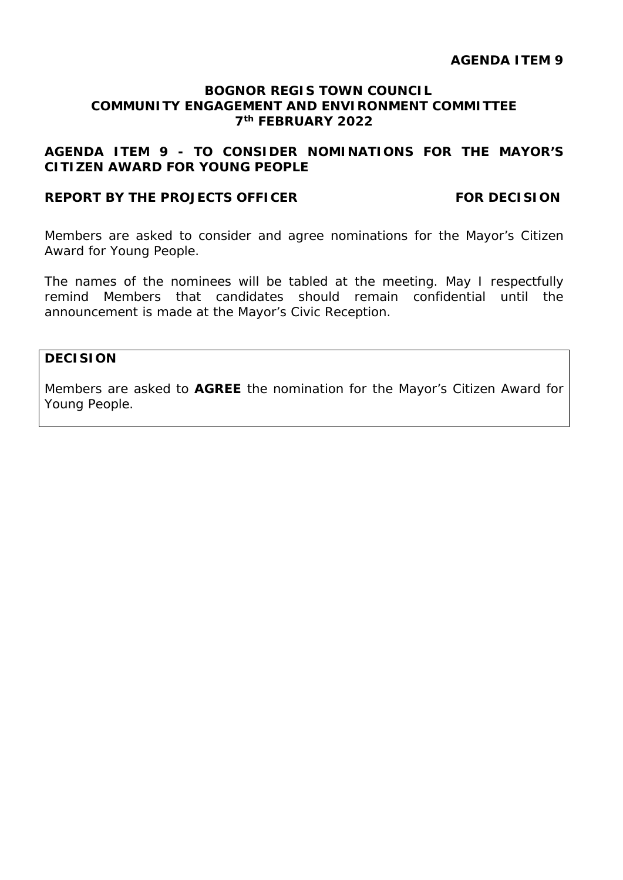#### **AGENDA ITEM 9**

#### **BOGNOR REGIS TOWN COUNCIL COMMUNITY ENGAGEMENT AND ENVIRONMENT COMMITTEE 7th FEBRUARY 2022**

#### **AGENDA ITEM 9 - TO CONSIDER NOMINATIONS FOR THE MAYOR'S CITIZEN AWARD FOR YOUNG PEOPLE**

#### **REPORT BY THE PROJECTS OFFICER FOR DECISION**

Members are asked to consider and agree nominations for the Mayor's Citizen Award for Young People.

The names of the nominees will be tabled at the meeting. May I respectfully remind Members that candidates should remain confidential until the announcement is made at the Mayor's Civic Reception.

#### **DECISION**

Members are asked to **AGREE** the nomination for the Mayor's Citizen Award for Young People.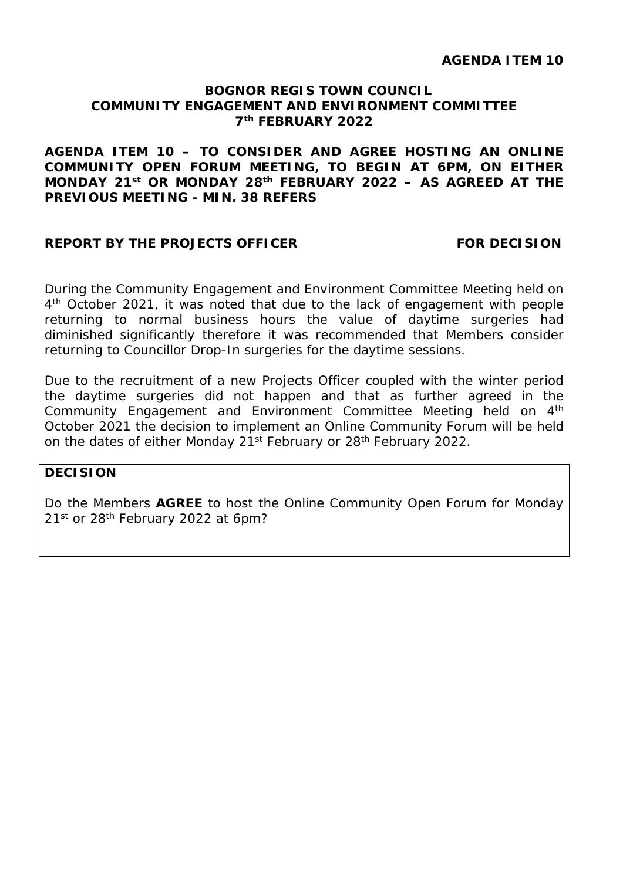#### **BOGNOR REGIS TOWN COUNCIL COMMUNITY ENGAGEMENT AND ENVIRONMENT COMMITTEE 7th FEBRUARY 2022**

**AGENDA ITEM 10 – TO CONSIDER AND AGREE HOSTING AN ONLINE COMMUNITY OPEN FORUM MEETING, TO BEGIN AT 6PM, ON EITHER MONDAY 21st OR MONDAY 28th FEBRUARY 2022 – AS AGREED AT THE PREVIOUS MEETING - MIN. 38 REFERS**

#### **REPORT BY THE PROJECTS OFFICER FOR DECISION**

During the Community Engagement and Environment Committee Meeting held on 4<sup>th</sup> October 2021, it was noted that due to the lack of engagement with people returning to normal business hours the value of daytime surgeries had diminished significantly therefore it was recommended that Members consider returning to Councillor Drop-In surgeries for the daytime sessions.

Due to the recruitment of a new Projects Officer coupled with the winter period the daytime surgeries did not happen and that as further agreed in the Community Engagement and Environment Committee Meeting held on 4th October 2021 the decision to implement an Online Community Forum will be held on the dates of either Monday 21<sup>st</sup> February or 28<sup>th</sup> February 2022.

#### **DECISION**

Do the Members **AGREE** to host the Online Community Open Forum for Monday 21st or 28<sup>th</sup> February 2022 at 6pm?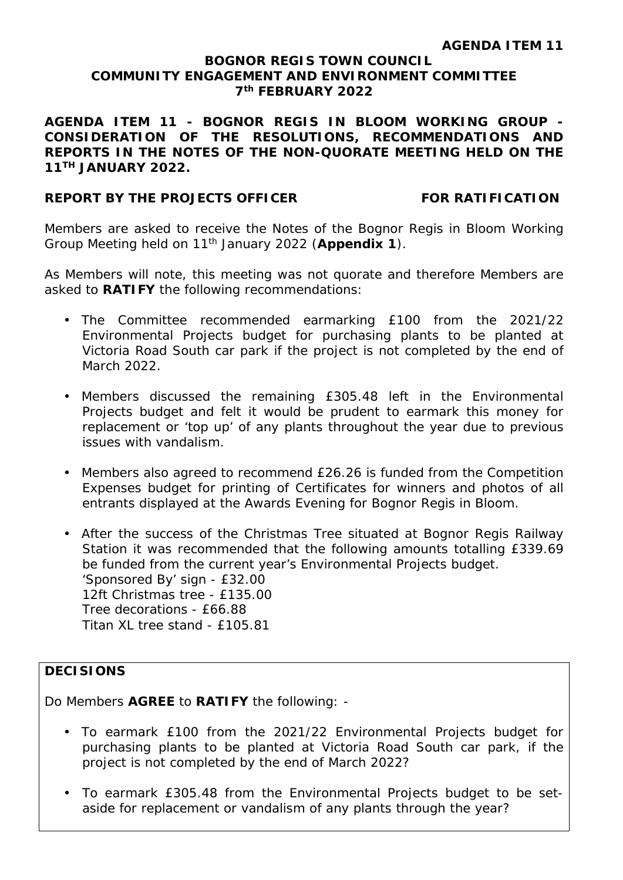#### **BOGNOR REGIS TOWN COUNCIL COMMUNITY ENGAGEMENT AND ENVIRONMENT COMMITTEE 7th FEBRUARY 2022**

**AGENDA ITEM 11 - BOGNOR REGIS IN BLOOM WORKING GROUP - CONSIDERATION OF THE RESOLUTIONS, RECOMMENDATIONS AND REPORTS IN THE NOTES OF THE NON-QUORATE MEETING HELD ON THE 11TH JANUARY 2022.**

#### **REPORT BY THE PROJECTS OFFICER FOR RATIFICATION**

Members are asked to receive the Notes of the Bognor Regis in Bloom Working Group Meeting held on 11th January 2022 (**Appendix 1**).

As Members will note, this meeting was not quorate and therefore Members are asked to **RATIFY** the following recommendations:

- The Committee recommended earmarking £100 from the 2021/22 Environmental Projects budget for purchasing plants to be planted at Victoria Road South car park if the project is not completed by the end of March 2022.
- Members discussed the remaining £305.48 left in the Environmental Projects budget and felt it would be prudent to earmark this money for replacement or 'top up' of any plants throughout the year due to previous issues with vandalism.
- Members also agreed to recommend £26.26 is funded from the Competition Expenses budget for printing of Certificates for winners and photos of all entrants displayed at the Awards Evening for Bognor Regis in Bloom.
- After the success of the Christmas Tree situated at Bognor Regis Railway Station it was recommended that the following amounts totalling £339.69 be funded from the current year's Environmental Projects budget. 'Sponsored By' sign - £32.00 12ft Christmas tree - £135.00 Tree decorations - £66.88 Titan XL tree stand - £105.81

#### **DECISIONS**

Do Members **AGREE** to **RATIFY** the following: -

- To earmark £100 from the 2021/22 Environmental Projects budget for purchasing plants to be planted at Victoria Road South car park, if the project is not completed by the end of March 2022?
- To earmark £305.48 from the Environmental Projects budget to be setaside for replacement or vandalism of any plants through the year?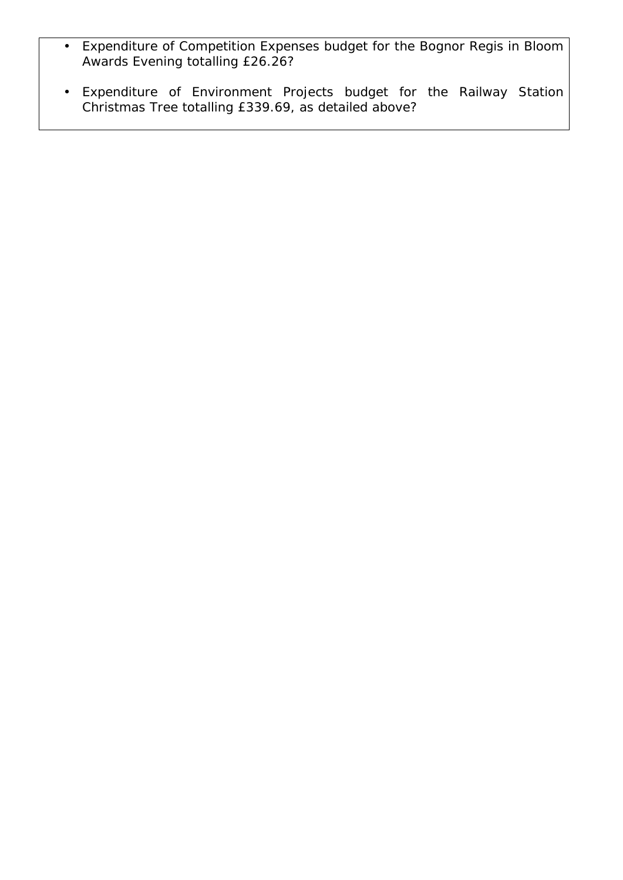- Expenditure of Competition Expenses budget for the Bognor Regis in Bloom  $\epsilon$ Awards Evening totalling £26.26?
- Expenditure of Environment Projects budget for the Railway Station  $\mathbf{r}^{\prime}$ Christmas Tree totalling £339.69, as detailed above?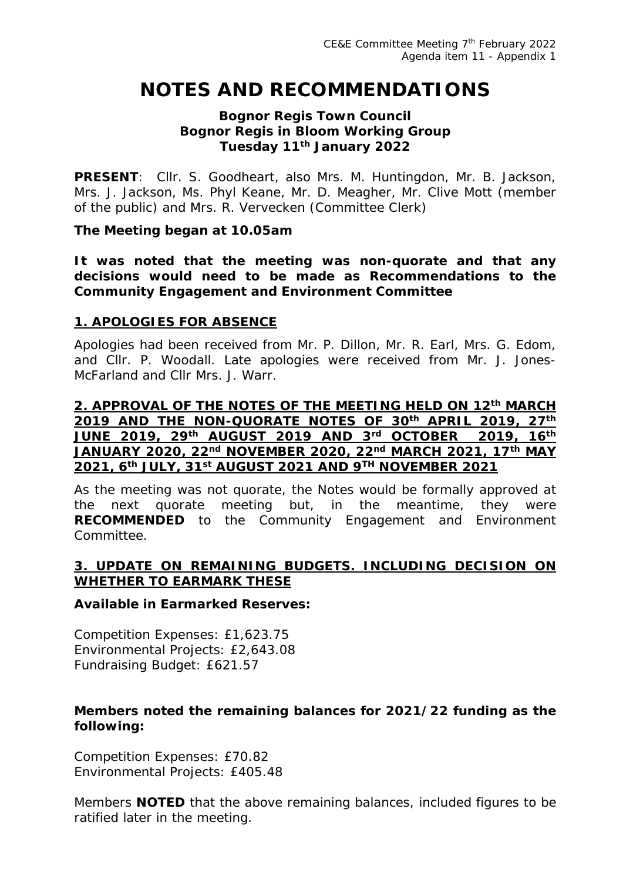## **NOTES AND RECOMMENDATIONS**

#### **Bognor Regis Town Council Bognor Regis in Bloom Working Group Tuesday 11th January 2022**

**PRESENT**: Cllr. S. Goodheart, also Mrs. M. Huntingdon, Mr. B. Jackson, Mrs. J. Jackson, Ms. Phyl Keane, Mr. D. Meagher, Mr. Clive Mott (member of the public) and Mrs. R. Vervecken (Committee Clerk)

#### *The Meeting began at 10.05am*

*It was noted that the meeting was non-quorate and that any decisions would need to be made as Recommendations to the Community Engagement and Environment Committee*

#### **1. APOLOGIES FOR ABSENCE**

Apologies had been received from Mr. P. Dillon, Mr. R. Earl, Mrs. G. Edom, and Cllr. P. Woodall. Late apologies were received from Mr. J. Jones-McFarland and Cllr Mrs. J. Warr.

#### **2. APPROVAL OF THE NOTES OF THE MEETING HELD ON 12th MARCH 2019 AND THE NON-QUORATE NOTES OF 30th APRIL 2019, 27th JUNE 2019, 29th AUGUST 2019 AND 3rd OCTOBER 2019, 16th JANUARY 2020, 22nd NOVEMBER 2020, 22nd MARCH 2021, 17th MAY 2021, 6th JULY, 31st AUGUST 2021 AND 9TH NOVEMBER 2021**

As the meeting was not quorate, the Notes would be formally approved at the next quorate meeting but, in the meantime, they were **RECOMMENDED** to the Community Engagement and Environment Committee.

#### **3. UPDATE ON REMAINING BUDGETS. INCLUDING DECISION ON WHETHER TO EARMARK THESE**

#### **Available in Earmarked Reserves:**

Competition Expenses: £1,623.75 Environmental Projects: £2,643.08 Fundraising Budget: £621.57

#### **Members noted the remaining balances for 2021/22 funding as the following:**

Competition Expenses: £70.82 Environmental Projects: £405.48

Members **NOTED** that the above remaining balances, included figures to be ratified later in the meeting.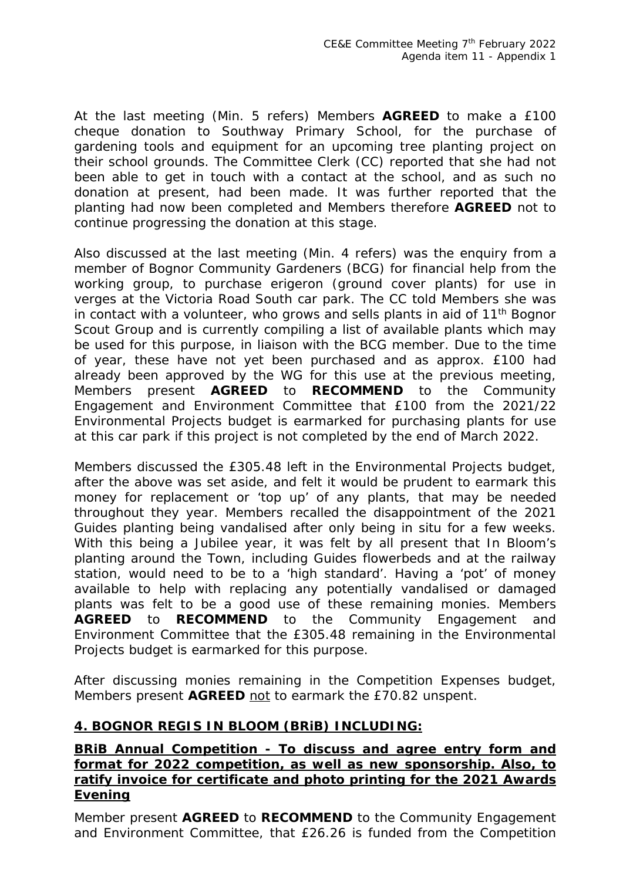At the last meeting (Min. 5 refers) Members **AGREED** to make a £100 cheque donation to Southway Primary School, for the purchase of gardening tools and equipment for an upcoming tree planting project on their school grounds. The Committee Clerk (CC) reported that she had not been able to get in touch with a contact at the school, and as such no donation at present, had been made. It was further reported that the planting had now been completed and Members therefore **AGREED** not to continue progressing the donation at this stage.

Also discussed at the last meeting (Min. 4 refers) was the enquiry from a member of Bognor Community Gardeners (BCG) for financial help from the working group, to purchase erigeron (ground cover plants) for use in verges at the Victoria Road South car park. The CC told Members she was in contact with a volunteer, who grows and sells plants in aid of 11th Bognor Scout Group and is currently compiling a list of available plants which may be used for this purpose, in liaison with the BCG member. Due to the time of year, these have not yet been purchased and as approx. £100 had already been approved by the WG for this use at the previous meeting, Members present **AGREED** to **RECOMMEND** to the Community Engagement and Environment Committee that £100 from the 2021/22 Environmental Projects budget is earmarked for purchasing plants for use at this car park if this project is not completed by the end of March 2022.

Members discussed the £305.48 left in the Environmental Projects budget, after the above was set aside, and felt it would be prudent to earmark this money for replacement or 'top up' of any plants, that may be needed throughout they year. Members recalled the disappointment of the 2021 Guides planting being vandalised after only being in situ for a few weeks. With this being a Jubilee year, it was felt by all present that In Bloom's planting around the Town, including Guides flowerbeds and at the railway station, would need to be to a 'high standard'. Having a 'pot' of money available to help with replacing any potentially vandalised or damaged plants was felt to be a good use of these remaining monies. Members **AGREED** to **RECOMMEND** to the Community Engagement and Environment Committee that the £305.48 remaining in the Environmental Projects budget is earmarked for this purpose.

After discussing monies remaining in the Competition Expenses budget, Members present **AGREED** not to earmark the £70.82 unspent.

#### **4. BOGNOR REGIS IN BLOOM (BRiB) INCLUDING:**

#### **BRiB Annual Competition - To discuss and agree entry form and format for 2022 competition, as well as new sponsorship. Also, to ratify invoice for certificate and photo printing for the 2021 Awards Evening**

Member present **AGREED** to **RECOMMEND** to the Community Engagement and Environment Committee, that £26.26 is funded from the Competition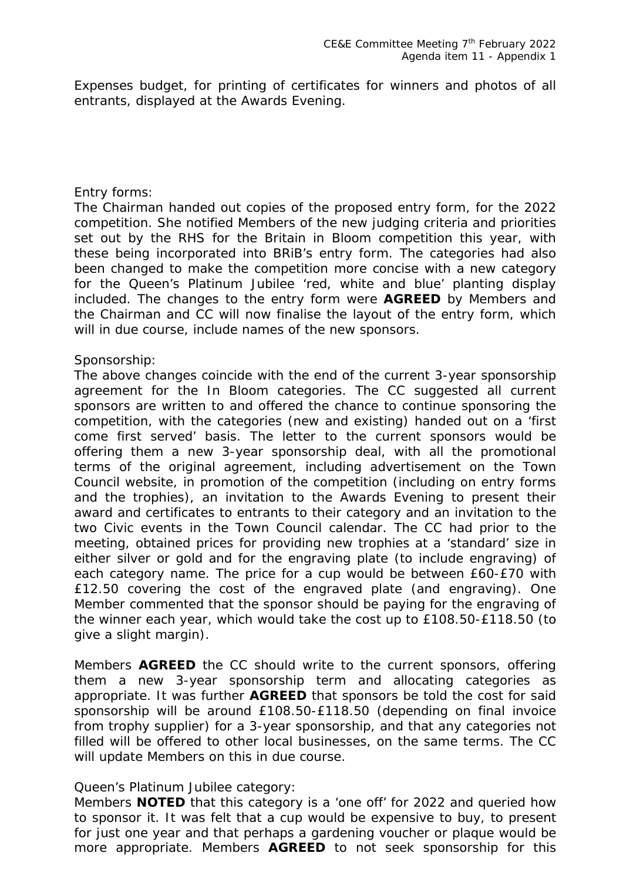Expenses budget, for printing of certificates for winners and photos of all entrants, displayed at the Awards Evening.

#### Entry forms:

The Chairman handed out copies of the proposed entry form, for the 2022 competition. She notified Members of the new judging criteria and priorities set out by the RHS for the Britain in Bloom competition this year, with these being incorporated into BRiB's entry form. The categories had also been changed to make the competition more concise with a new category for the Queen's Platinum Jubilee 'red, white and blue' planting display included. The changes to the entry form were **AGREED** by Members and the Chairman and CC will now finalise the layout of the entry form, which will in due course, include names of the new sponsors.

#### Sponsorship:

The above changes coincide with the end of the current 3-year sponsorship agreement for the In Bloom categories. The CC suggested all current sponsors are written to and offered the chance to continue sponsoring the competition, with the categories (new and existing) handed out on a 'first come first served' basis. The letter to the current sponsors would be offering them a new 3-year sponsorship deal, with all the promotional terms of the original agreement, including advertisement on the Town Council website, in promotion of the competition (including on entry forms and the trophies), an invitation to the Awards Evening to present their award and certificates to entrants to their category and an invitation to the two Civic events in the Town Council calendar. The CC had prior to the meeting, obtained prices for providing new trophies at a 'standard' size in either silver or gold and for the engraving plate (to include engraving) of each category name. The price for a cup would be between £60-£70 with £12.50 covering the cost of the engraved plate (and engraving). One Member commented that the sponsor should be paying for the engraving of the winner each year, which would take the cost up to £108.50-£118.50 (to give a slight margin).

Members **AGREED** the CC should write to the current sponsors, offering them a new 3-year sponsorship term and allocating categories as appropriate. It was further **AGREED** that sponsors be told the cost for said sponsorship will be around £108.50-£118.50 (depending on final invoice from trophy supplier) for a 3-year sponsorship, and that any categories not filled will be offered to other local businesses, on the same terms. The CC will update Members on this in due course.

#### Queen's Platinum Jubilee category:

Members **NOTED** that this category is a 'one off' for 2022 and queried how to sponsor it. It was felt that a cup would be expensive to buy, to present for just one year and that perhaps a gardening voucher or plaque would be more appropriate. Members **AGREED** to not seek sponsorship for this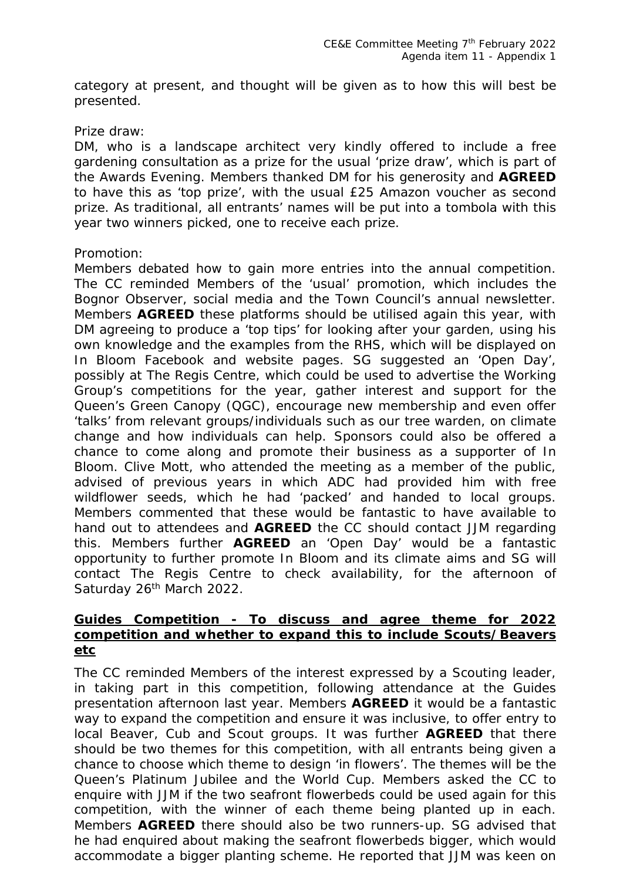category at present, and thought will be given as to how this will best be presented.

#### Prize draw:

DM, who is a landscape architect very kindly offered to include a free gardening consultation as a prize for the usual 'prize draw', which is part of the Awards Evening. Members thanked DM for his generosity and **AGREED**  to have this as 'top prize', with the usual £25 Amazon voucher as second prize. As traditional, all entrants' names will be put into a tombola with this year two winners picked, one to receive each prize.

#### Promotion:

Members debated how to gain more entries into the annual competition. The CC reminded Members of the 'usual' promotion, which includes the Bognor Observer, social media and the Town Council's annual newsletter. Members **AGREED** these platforms should be utilised again this year, with DM agreeing to produce a 'top tips' for looking after your garden, using his own knowledge and the examples from the RHS, which will be displayed on In Bloom Facebook and website pages. SG suggested an 'Open Day', possibly at The Regis Centre, which could be used to advertise the Working Group's competitions for the year, gather interest and support for the Queen's Green Canopy (QGC), encourage new membership and even offer 'talks' from relevant groups/individuals such as our tree warden, on climate change and how individuals can help. Sponsors could also be offered a chance to come along and promote their business as a supporter of In Bloom. Clive Mott, who attended the meeting as a member of the public, advised of previous years in which ADC had provided him with free wildflower seeds, which he had 'packed' and handed to local groups. Members commented that these would be fantastic to have available to hand out to attendees and **AGREED** the CC should contact JJM regarding this. Members further **AGREED** an 'Open Day' would be a fantastic opportunity to further promote In Bloom and its climate aims and SG will contact The Regis Centre to check availability, for the afternoon of Saturday 26<sup>th</sup> March 2022.

#### **Guides Competition - To discuss and agree theme for 2022 competition and whether to expand this to include Scouts/Beavers etc**

The CC reminded Members of the interest expressed by a Scouting leader, in taking part in this competition, following attendance at the Guides presentation afternoon last year. Members **AGREED** it would be a fantastic way to expand the competition and ensure it was inclusive, to offer entry to local Beaver, Cub and Scout groups. It was further **AGREED** that there should be two themes for this competition, with all entrants being given a chance to choose which theme to design 'in flowers'. The themes will be the Queen's Platinum Jubilee and the World Cup. Members asked the CC to enquire with JJM if the two seafront flowerbeds could be used again for this competition, with the winner of each theme being planted up in each. Members **AGREED** there should also be two runners-up. SG advised that he had enquired about making the seafront flowerbeds bigger, which would accommodate a bigger planting scheme. He reported that JJM was keen on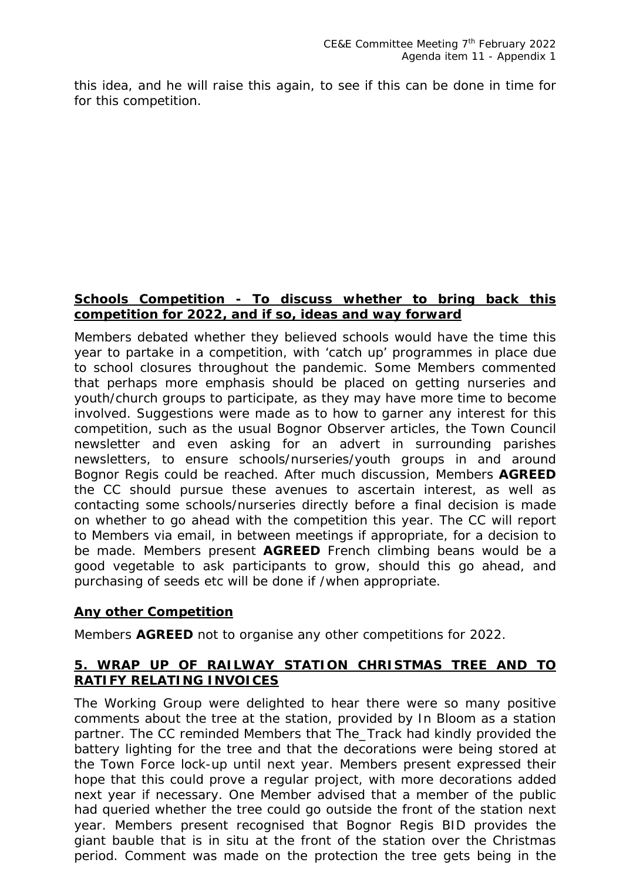this idea, and he will raise this again, to see if this can be done in time for for this competition.

#### **Schools Competition - To discuss whether to bring back this competition for 2022, and if so, ideas and way forward**

Members debated whether they believed schools would have the time this year to partake in a competition, with 'catch up' programmes in place due to school closures throughout the pandemic. Some Members commented that perhaps more emphasis should be placed on getting nurseries and youth/church groups to participate, as they may have more time to become involved. Suggestions were made as to how to garner any interest for this competition, such as the usual Bognor Observer articles, the Town Council newsletter and even asking for an advert in surrounding parishes newsletters, to ensure schools/nurseries/youth groups in and around Bognor Regis could be reached. After much discussion, Members **AGREED**  the CC should pursue these avenues to ascertain interest, as well as contacting some schools/nurseries directly before a final decision is made on whether to go ahead with the competition this year. The CC will report to Members via email, in between meetings if appropriate, for a decision to be made. Members present **AGREED** French climbing beans would be a good vegetable to ask participants to grow, should this go ahead, and purchasing of seeds etc will be done if /when appropriate.

#### **Any other Competition**

Members **AGREED** not to organise any other competitions for 2022.

#### **5. WRAP UP OF RAILWAY STATION CHRISTMAS TREE AND TO RATIFY RELATING INVOICES**

The Working Group were delighted to hear there were so many positive comments about the tree at the station, provided by In Bloom as a station partner. The CC reminded Members that The\_Track had kindly provided the battery lighting for the tree and that the decorations were being stored at the Town Force lock-up until next year. Members present expressed their hope that this could prove a regular project, with more decorations added next year if necessary. One Member advised that a member of the public had queried whether the tree could go outside the front of the station next year. Members present recognised that Bognor Regis BID provides the giant bauble that is in situ at the front of the station over the Christmas period. Comment was made on the protection the tree gets being in the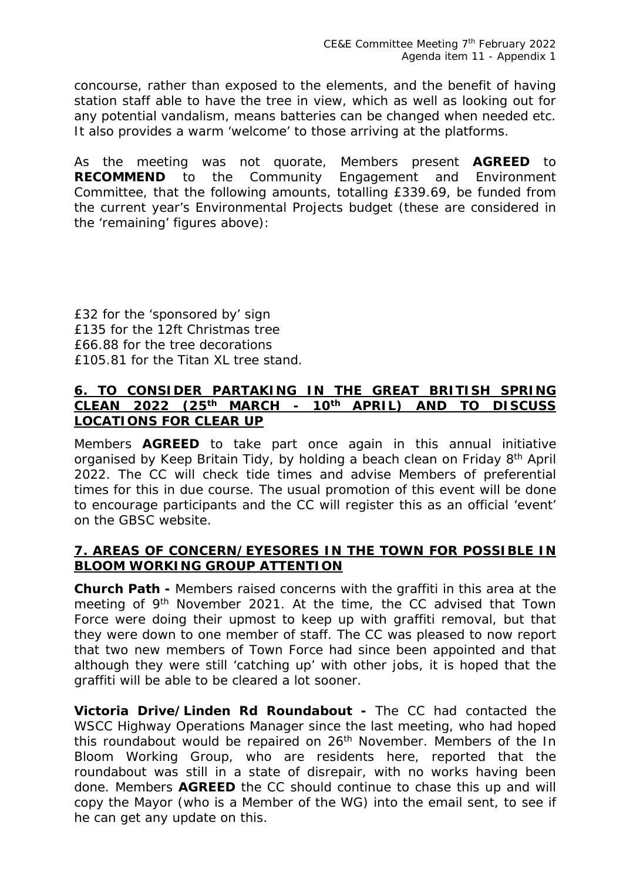concourse, rather than exposed to the elements, and the benefit of having station staff able to have the tree in view, which as well as looking out for any potential vandalism, means batteries can be changed when needed etc. It also provides a warm 'welcome' to those arriving at the platforms.

As the meeting was not quorate, Members present **AGREED** to **RECOMMEND** to the Community Engagement and Environment Committee, that the following amounts, totalling £339.69, be funded from the current year's Environmental Projects budget (these are considered in the 'remaining' figures above):

£32 for the 'sponsored by' sign £135 for the 12ft Christmas tree £66.88 for the tree decorations £105.81 for the Titan XL tree stand.

#### **6. TO CONSIDER PARTAKING IN THE GREAT BRITISH SPRING CLEAN 2022 (25th MARCH - 10th APRIL) AND TO DISCUSS LOCATIONS FOR CLEAR UP**

Members **AGREED** to take part once again in this annual initiative organised by Keep Britain Tidy, by holding a beach clean on Friday 8th April 2022. The CC will check tide times and advise Members of preferential times for this in due course. The usual promotion of this event will be done to encourage participants and the CC will register this as an official 'event' on the GBSC website.

#### **7. AREAS OF CONCERN/EYESORES IN THE TOWN FOR POSSIBLE IN BLOOM WORKING GROUP ATTENTION**

**Church Path -** Members raised concerns with the graffiti in this area at the meeting of 9<sup>th</sup> November 2021. At the time, the CC advised that Town Force were doing their upmost to keep up with graffiti removal, but that they were down to one member of staff. The CC was pleased to now report that two new members of Town Force had since been appointed and that although they were still 'catching up' with other jobs, it is hoped that the graffiti will be able to be cleared a lot sooner.

**Victoria Drive/Linden Rd Roundabout -** The CC had contacted the WSCC Highway Operations Manager since the last meeting, who had hoped this roundabout would be repaired on 26<sup>th</sup> November. Members of the In Bloom Working Group, who are residents here, reported that the roundabout was still in a state of disrepair, with no works having been done. Members **AGREED** the CC should continue to chase this up and will copy the Mayor (who is a Member of the WG) into the email sent, to see if he can get any update on this.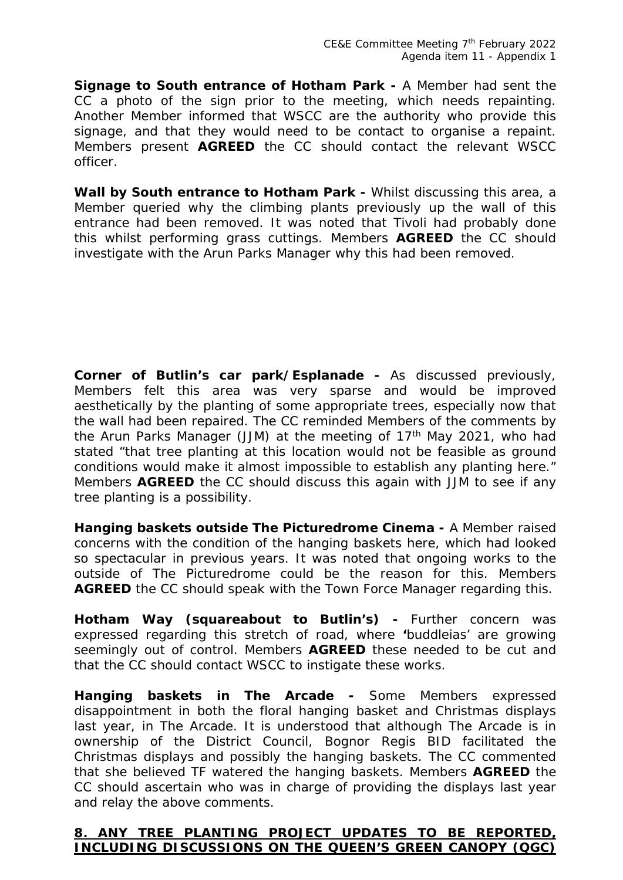**Signage to South entrance of Hotham Park -** A Member had sent the CC a photo of the sign prior to the meeting, which needs repainting. Another Member informed that WSCC are the authority who provide this signage, and that they would need to be contact to organise a repaint. Members present **AGREED** the CC should contact the relevant WSCC officer.

**Wall by South entrance to Hotham Park -** Whilst discussing this area, a Member queried why the climbing plants previously up the wall of this entrance had been removed. It was noted that Tivoli had probably done this whilst performing grass cuttings. Members **AGREED** the CC should investigate with the Arun Parks Manager why this had been removed.

**Corner of Butlin's car park/Esplanade -** As discussed previously, Members felt this area was very sparse and would be improved aesthetically by the planting of some appropriate trees, especially now that the wall had been repaired. The CC reminded Members of the comments by the Arun Parks Manager (JJM) at the meeting of 17<sup>th</sup> May 2021, who had stated "that tree planting at this location would not be feasible as ground conditions would make it almost impossible to establish any planting here." Members **AGREED** the CC should discuss this again with JJM to see if any tree planting is a possibility.

**Hanging baskets outside The Picturedrome Cinema -** A Member raised concerns with the condition of the hanging baskets here, which had looked so spectacular in previous years. It was noted that ongoing works to the outside of The Picturedrome could be the reason for this. Members **AGREED** the CC should speak with the Town Force Manager regarding this.

**Hotham Way (squareabout to Butlin's) -** Further concern was expressed regarding this stretch of road, where **'**buddleias' are growing seemingly out of control. Members **AGREED** these needed to be cut and that the CC should contact WSCC to instigate these works.

**Hanging baskets in The Arcade -** Some Members expressed disappointment in both the floral hanging basket and Christmas displays last year, in The Arcade. It is understood that although The Arcade is in ownership of the District Council, Bognor Regis BID facilitated the Christmas displays and possibly the hanging baskets. The CC commented that she believed TF watered the hanging baskets. Members **AGREED** the CC should ascertain who was in charge of providing the displays last year and relay the above comments.

#### **8. ANY TREE PLANTING PROJECT UPDATES TO BE REPORTED, INCLUDING DISCUSSIONS ON THE QUEEN'S GREEN CANOPY (QGC)**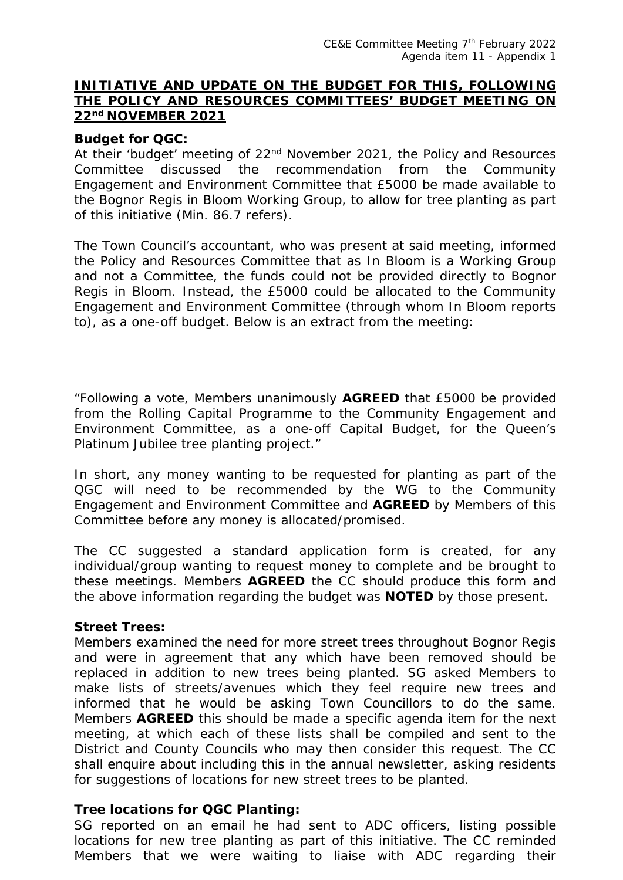#### **INITIATIVE AND UPDATE ON THE BUDGET FOR THIS, FOLLOWING THE POLICY AND RESOURCES COMMITTEES' BUDGET MEETING ON 22nd NOVEMBER 2021**

#### **Budget for QGC:**

At their 'budget' meeting of 22<sup>nd</sup> November 2021, the Policy and Resources Committee discussed the recommendation from the Community Engagement and Environment Committee that £5000 be made available to the Bognor Regis in Bloom Working Group, to allow for tree planting as part of this initiative (Min. 86.7 refers).

The Town Council's accountant, who was present at said meeting, informed the Policy and Resources Committee that as In Bloom is a Working Group and not a Committee, the funds could not be provided directly to Bognor Regis in Bloom. Instead, the £5000 could be allocated to the Community Engagement and Environment Committee (through whom In Bloom reports to), as a one-off budget. Below is an extract from the meeting:

"Following a vote, Members unanimously **AGREED** that £5000 be provided from the Rolling Capital Programme to the Community Engagement and Environment Committee, as a one-off Capital Budget, for the Queen's Platinum Jubilee tree planting project."

In short, any money wanting to be requested for planting as part of the QGC will need to be recommended by the WG to the Community Engagement and Environment Committee and **AGREED** by Members of this Committee before any money is allocated/promised.

The CC suggested a standard application form is created, for any individual/group wanting to request money to complete and be brought to these meetings. Members **AGREED** the CC should produce this form and the above information regarding the budget was **NOTED** by those present.

#### **Street Trees:**

Members examined the need for more street trees throughout Bognor Regis and were in agreement that any which have been removed should be replaced in addition to new trees being planted. SG asked Members to make lists of streets/avenues which they feel require new trees and informed that he would be asking Town Councillors to do the same. Members **AGREED** this should be made a specific agenda item for the next meeting, at which each of these lists shall be compiled and sent to the District and County Councils who may then consider this request. The CC shall enquire about including this in the annual newsletter, asking residents for suggestions of locations for new street trees to be planted.

#### **Tree locations for QGC Planting:**

SG reported on an email he had sent to ADC officers, listing possible locations for new tree planting as part of this initiative. The CC reminded Members that we were waiting to liaise with ADC regarding their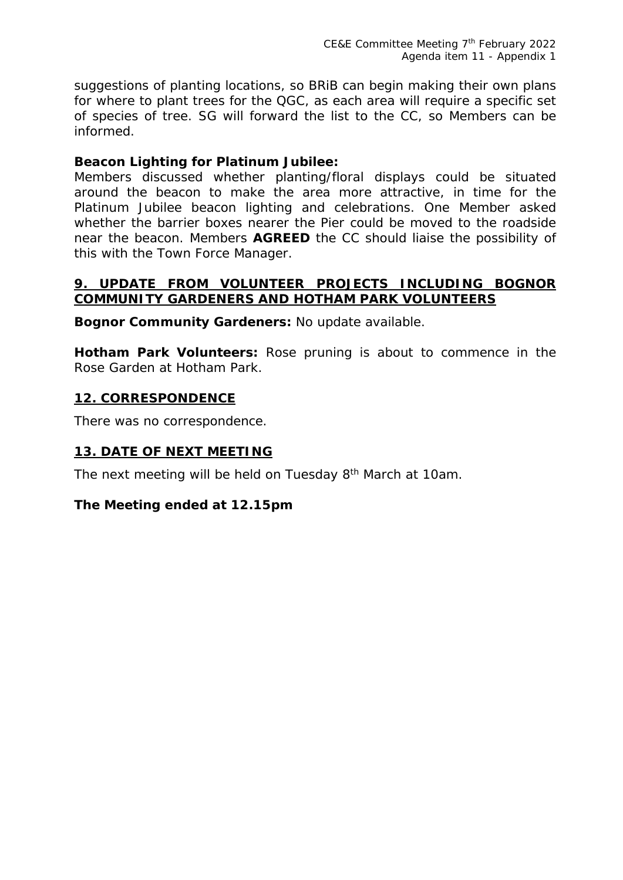suggestions of planting locations, so BRiB can begin making their own plans for where to plant trees for the QGC, as each area will require a specific set of species of tree. SG will forward the list to the CC, so Members can be informed.

#### **Beacon Lighting for Platinum Jubilee:**

Members discussed whether planting/floral displays could be situated around the beacon to make the area more attractive, in time for the Platinum Jubilee beacon lighting and celebrations. One Member asked whether the barrier boxes nearer the Pier could be moved to the roadside near the beacon. Members **AGREED** the CC should liaise the possibility of this with the Town Force Manager.

#### **9. UPDATE FROM VOLUNTEER PROJECTS INCLUDING BOGNOR COMMUNITY GARDENERS AND HOTHAM PARK VOLUNTEERS**

**Bognor Community Gardeners:** No update available.

**Hotham Park Volunteers:** Rose pruning is about to commence in the Rose Garden at Hotham Park.

#### **12. CORRESPONDENCE**

There was no correspondence.

#### **13. DATE OF NEXT MEETING**

The next meeting will be held on Tuesday 8<sup>th</sup> March at 10am.

#### *The Meeting ended at 12.15pm*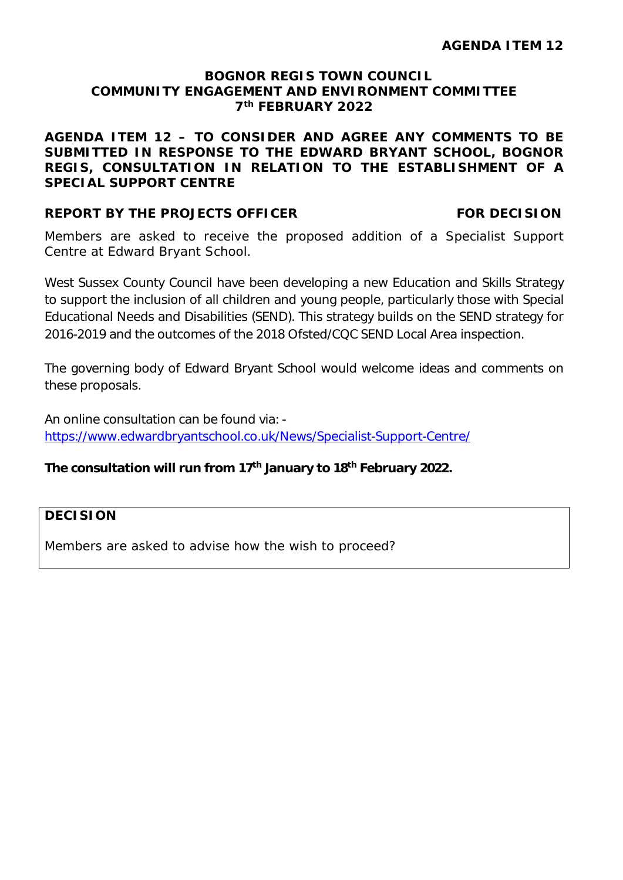#### **BOGNOR REGIS TOWN COUNCIL COMMUNITY ENGAGEMENT AND ENVIRONMENT COMMITTEE 7th FEBRUARY 2022**

**AGENDA ITEM 12 – TO CONSIDER AND AGREE ANY COMMENTS TO BE SUBMITTED IN RESPONSE TO THE EDWARD BRYANT SCHOOL, BOGNOR REGIS, CONSULTATION IN RELATION TO THE ESTABLISHMENT OF A SPECIAL SUPPORT CENTRE**

#### **REPORT BY THE PROJECTS OFFICER FOR DECISION**

Members are asked to receive the proposed addition of a Specialist Support Centre at Edward Bryant School.

West Sussex County Council have been developing a new Education and Skills Strategy to support the inclusion of all children and young people, particularly those with Special Educational Needs and Disabilities (SEND). This strategy builds on the SEND strategy for 2016-2019 and the outcomes of the 2018 Ofsted/CQC SEND Local Area inspection.

The governing body of Edward Bryant School would welcome ideas and comments on these proposals.

An online consultation can be found via: https://www.edwardbryantschool.co.uk/News/Specialist-Support-Centre/

#### **The consultation will run from 17th January to 18th February 2022.**

#### **DECISION**

Members are asked to advise how the wish to proceed?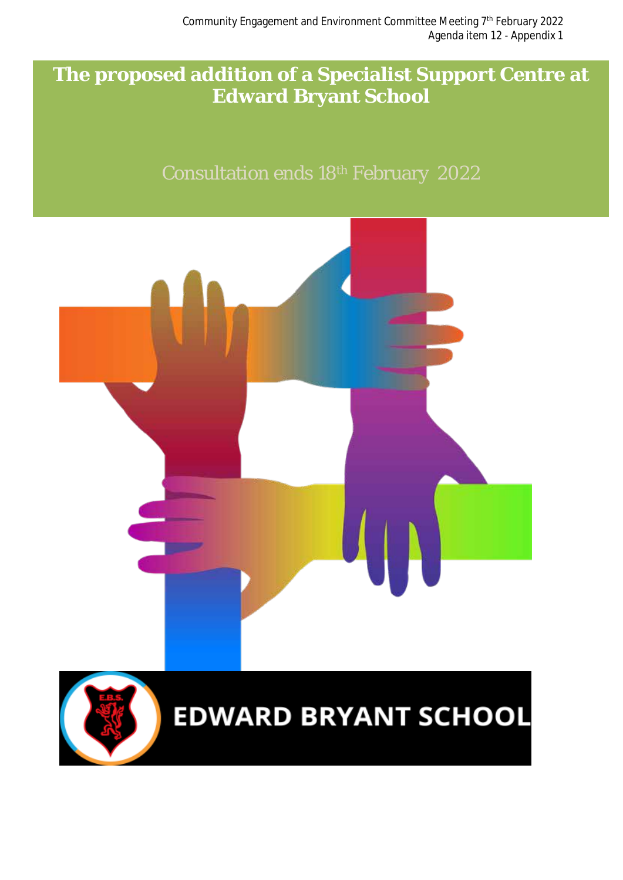## **The proposed addition of a Specialist Support Centre at Edward Bryant School**

## Consultation ends 18th February 2022



# **EDWARD BRYANT SCHOOL**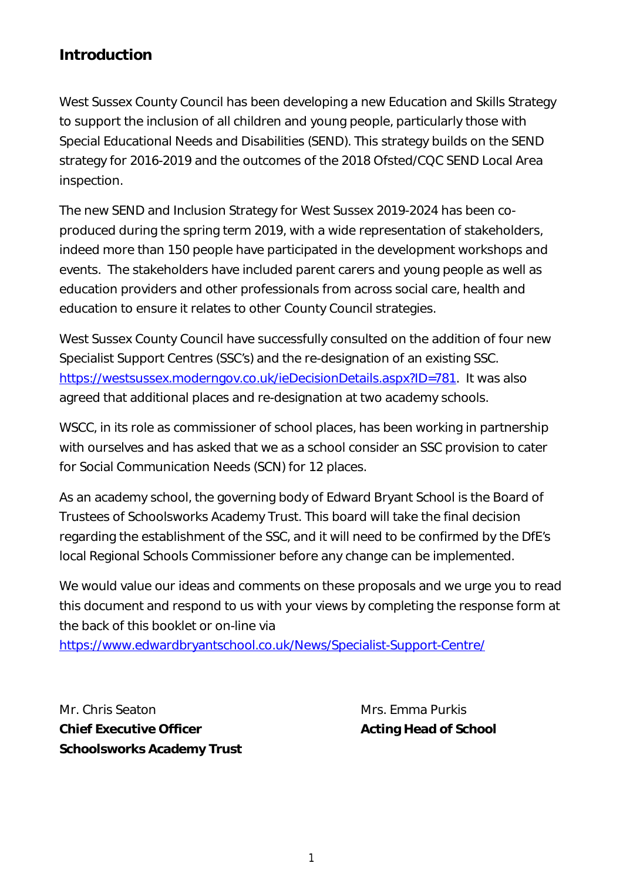### **Introduction**

West Sussex County Council has been developing a new Education and Skills Strategy to support the inclusion of all children and young people, particularly those with Special Educational Needs and Disabilities (SEND). This strategy builds on the SEND strategy for 2016-2019 and the outcomes of the 2018 Ofsted/CQC SEND Local Area inspection.

The new SEND and Inclusion Strategy for West Sussex 2019-2024 has been coproduced during the spring term 2019, with a wide representation of stakeholders, indeed more than 150 people have participated in the development workshops and events. The stakeholders have included parent carers and young people as well as education providers and other professionals from across social care, health and education to ensure it relates to other County Council strategies.

West Sussex County Council have successfully consulted on the addition of four new Specialist Support Centres (SSC's) and the re-designation of an existing SSC. https://westsussex.moderngov.co.uk/ieDecisionDetails.aspx?ID=781. It was also agreed that additional places and re-designation at two academy schools.

WSCC, in its role as commissioner of school places, has been working in partnership with ourselves and has asked that we as a school consider an SSC provision to cater for Social Communication Needs (SCN) for 12 places.

As an academy school, the governing body of Edward Bryant School is the Board of Trustees of Schoolsworks Academy Trust. This board will take the final decision regarding the establishment of the SSC, and it will need to be confirmed by the DfE's local Regional Schools Commissioner before any change can be implemented.

We would value our ideas and comments on these proposals and we urge you to read this document and respond to us with your views by completing the response form at the back of this booklet or on-line via

https://www.edwardbryantschool.co.uk/News/Specialist-Support-Centre/

Mr. Chris Seaton Mrs. Emma Purkis **Chief Executive Officer Acting Head of School Schoolsworks Academy Trust**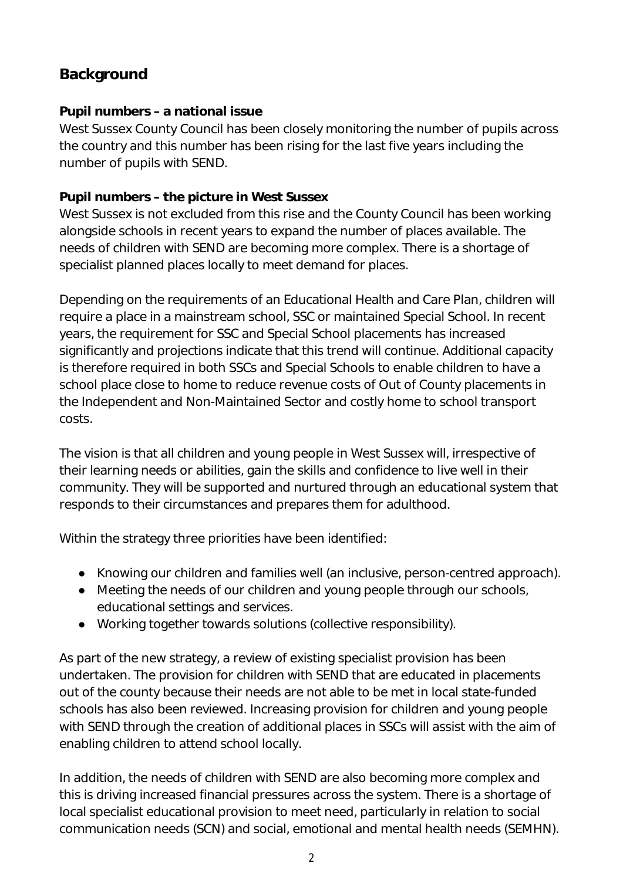## **Background**

#### **Pupil numbers – a national issue**

West Sussex County Council has been closely monitoring the number of pupils across the country and this number has been rising for the last five years including the number of pupils with SEND.

### **Pupil numbers – the picture in West Sussex**

West Sussex is not excluded from this rise and the County Council has been working alongside schools in recent years to expand the number of places available. The needs of children with SEND are becoming more complex. There is a shortage of specialist planned places locally to meet demand for places.

Depending on the requirements of an Educational Health and Care Plan, children will require a place in a mainstream school, SSC or maintained Special School. In recent years, the requirement for SSC and Special School placements has increased significantly and projections indicate that this trend will continue. Additional capacity is therefore required in both SSCs and Special Schools to enable children to have a school place close to home to reduce revenue costs of Out of County placements in the Independent and Non-Maintained Sector and costly home to school transport costs.

The vision is that all children and young people in West Sussex will, irrespective of their learning needs or abilities, gain the skills and confidence to live well in their community. They will be supported and nurtured through an educational system that responds to their circumstances and prepares them for adulthood.

Within the strategy three priorities have been identified:

- Knowing our children and families well (an inclusive, person-centred approach).
- Meeting the needs of our children and young people through our schools, educational settings and services.
- Working together towards solutions (collective responsibility).

As part of the new strategy, a review of existing specialist provision has been undertaken. The provision for children with SEND that are educated in placements out of the county because their needs are not able to be met in local state-funded schools has also been reviewed. Increasing provision for children and young people with SEND through the creation of additional places in SSCs will assist with the aim of enabling children to attend school locally.

In addition, the needs of children with SEND are also becoming more complex and this is driving increased financial pressures across the system. There is a shortage of local specialist educational provision to meet need, particularly in relation to social communication needs (SCN) and social, emotional and mental health needs (SEMHN).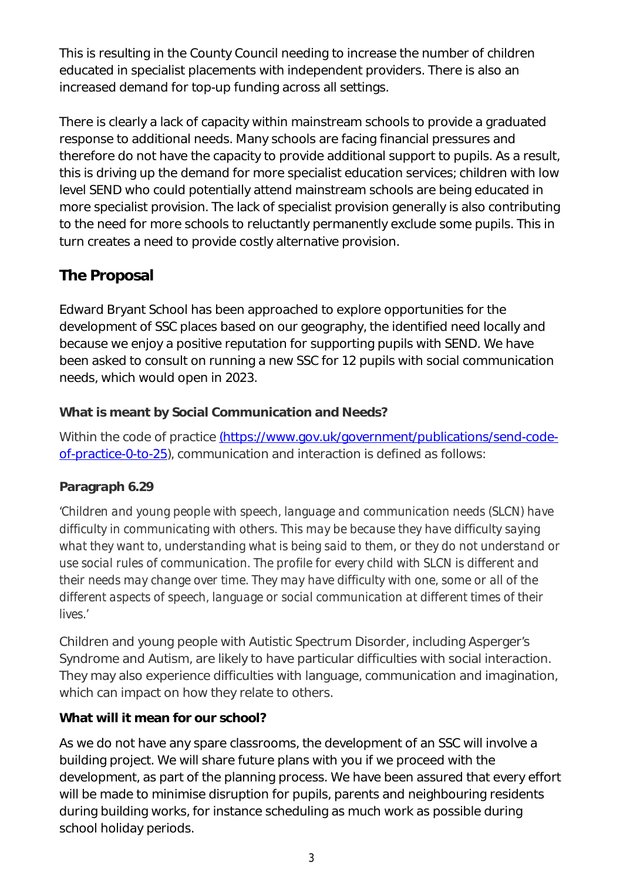This is resulting in the County Council needing to increase the number of children educated in specialist placements with independent providers. There is also an increased demand for top-up funding across all settings.

There is clearly a lack of capacity within mainstream schools to provide a graduated response to additional needs. Many schools are facing financial pressures and therefore do not have the capacity to provide additional support to pupils. As a result, this is driving up the demand for more specialist education services; children with low level SEND who could potentially attend mainstream schools are being educated in more specialist provision. The lack of specialist provision generally is also contributing to the need for more schools to reluctantly permanently exclude some pupils. This in turn creates a need to provide costly alternative provision.

## **The Proposal**

Edward Bryant School has been approached to explore opportunities for the development of SSC places based on our geography, the identified need locally and because we enjoy a positive reputation for supporting pupils with SEND. We have been asked to consult on running a new SSC for 12 pupils with social communication needs, which would open in 2023.

### **What is meant by Social Communication and Needs?**

Within the code of practice (https://www.gov.uk/government/publications/send-codeof-practice-0-to-25), communication and interaction is defined as follows:

### **Paragraph 6.29**

*'Children and young people with speech, language and communication needs (SLCN) have difficulty in communicating with others. This may be because they have difficulty saying what they want to, understanding what is being said to them, or they do not understand or use social rules of communication. The profile for every child with SLCN is different and their needs may change over time. They may have difficulty with one, some or all of the different aspects of speech, language or social communication at different times of their lives.'*

Children and young people with Autistic Spectrum Disorder, including Asperger's Syndrome and Autism, are likely to have particular difficulties with social interaction. They may also experience difficulties with language, communication and imagination, which can impact on how they relate to others.

#### **What will it mean for our school?**

As we do not have any spare classrooms, the development of an SSC will involve a building project. We will share future plans with you if we proceed with the development, as part of the planning process. We have been assured that every effort will be made to minimise disruption for pupils, parents and neighbouring residents during building works, for instance scheduling as much work as possible during school holiday periods.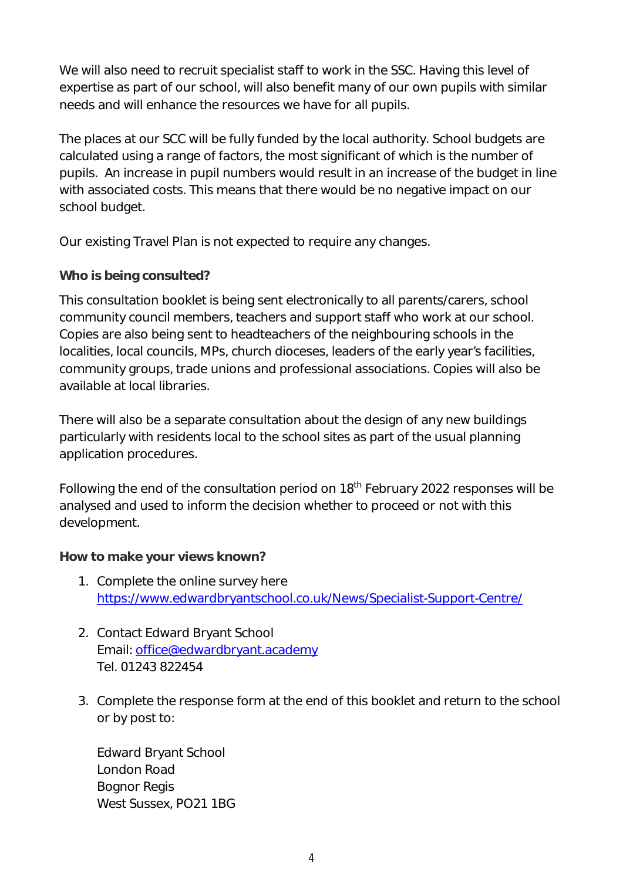We will also need to recruit specialist staff to work in the SSC. Having this level of expertise as part of our school, will also benefit many of our own pupils with similar needs and will enhance the resources we have for all pupils.

The places at our SCC will be fully funded by the local authority. School budgets are calculated using a range of factors, the most significant of which is the number of pupils. An increase in pupil numbers would result in an increase of the budget in line with associated costs. This means that there would be no negative impact on our school budget.

Our existing Travel Plan is not expected to require any changes.

#### **Who is being consulted?**

This consultation booklet is being sent electronically to all parents/carers, school community council members, teachers and support staff who work at our school. Copies are also being sent to headteachers of the neighbouring schools in the localities, local councils, MPs, church dioceses, leaders of the early year's facilities, community groups, trade unions and professional associations. Copies will also be available at local libraries.

There will also be a separate consultation about the design of any new buildings particularly with residents local to the school sites as part of the usual planning application procedures.

Following the end of the consultation period on 18<sup>th</sup> February 2022 responses will be analysed and used to inform the decision whether to proceed or not with this development.

#### **How to make your views known?**

- 1. Complete the online survey here https://www.edwardbryantschool.co.uk/News/Specialist-Support-Centre/
- 2. Contact Edward Bryant School Email: office@edwardbryant.academy Tel. 01243 822454
- 3. Complete the response form at the end of this booklet and return to the school or by post to:

Edward Bryant School London Road Bognor Regis West Sussex, PO21 1BG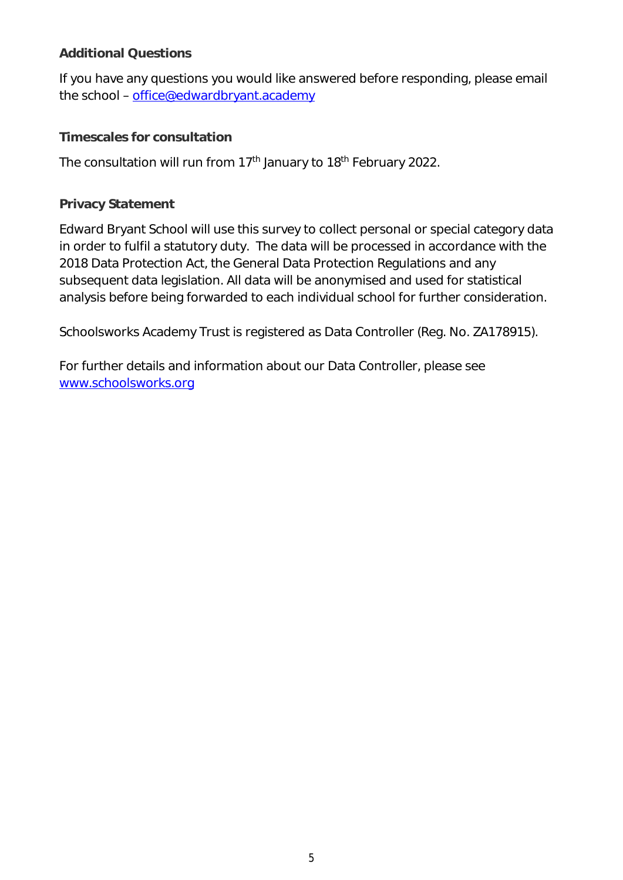#### **Additional Questions**

If you have any questions you would like answered before responding, please email the school – office@edwardbryant.academy

### **Timescales for consultation**

The consultation will run from 17<sup>th</sup> January to 18<sup>th</sup> February 2022.

### **Privacy Statement**

Edward Bryant School will use this survey to collect personal or special category data in order to fulfil a statutory duty. The data will be processed in accordance with the 2018 Data Protection Act, the General Data Protection Regulations and any subsequent data legislation. All data will be anonymised and used for statistical analysis before being forwarded to each individual school for further consideration.

Schoolsworks Academy Trust is registered as Data Controller (Reg. No. ZA178915).

For further details and information about our Data Controller, please see www.schoolsworks.org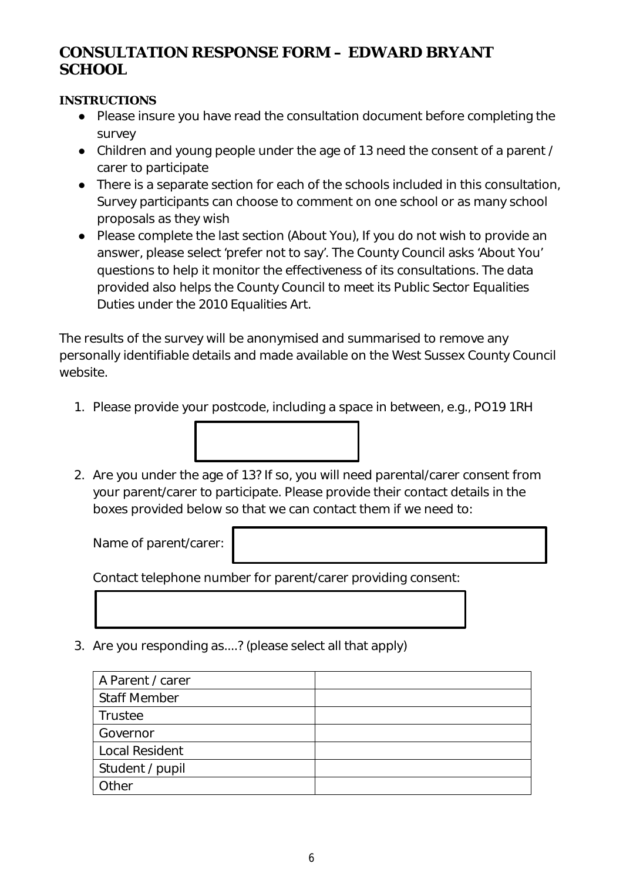### **CONSULTATION RESPONSE FORM – EDWARD BRYANT SCHOOL**

#### **INSTRUCTIONS**

- Please insure you have read the consultation document before completing the survey
- Children and young people under the age of 13 need the consent of a parent / carer to participate
- There is a separate section for each of the schools included in this consultation, Survey participants can choose to comment on one school or as many school proposals as they wish
- Please complete the last section (About You), If you do not wish to provide an answer, please select 'prefer not to say'. The County Council asks 'About You' questions to help it monitor the effectiveness of its consultations. The data provided also helps the County Council to meet its Public Sector Equalities Duties under the 2010 Equalities Art.

The results of the survey will be anonymised and summarised to remove any personally identifiable details and made available on the West Sussex County Council website.

- 1. Please provide your postcode, including a space in between, e.g., PO19 1RH
- 2. Are you under the age of 13? If so, you will need parental/carer consent from your parent/carer to participate. Please provide their contact details in the boxes provided below so that we can contact them if we need to:

Name of parent/carer:

Contact telephone number for parent/carer providing consent:

3. Are you responding as....? (please select all that apply)

| A Parent / carer    |  |
|---------------------|--|
| <b>Staff Member</b> |  |
| Trustee             |  |
| Governor            |  |
| Local Resident      |  |
| Student / pupil     |  |
| Other               |  |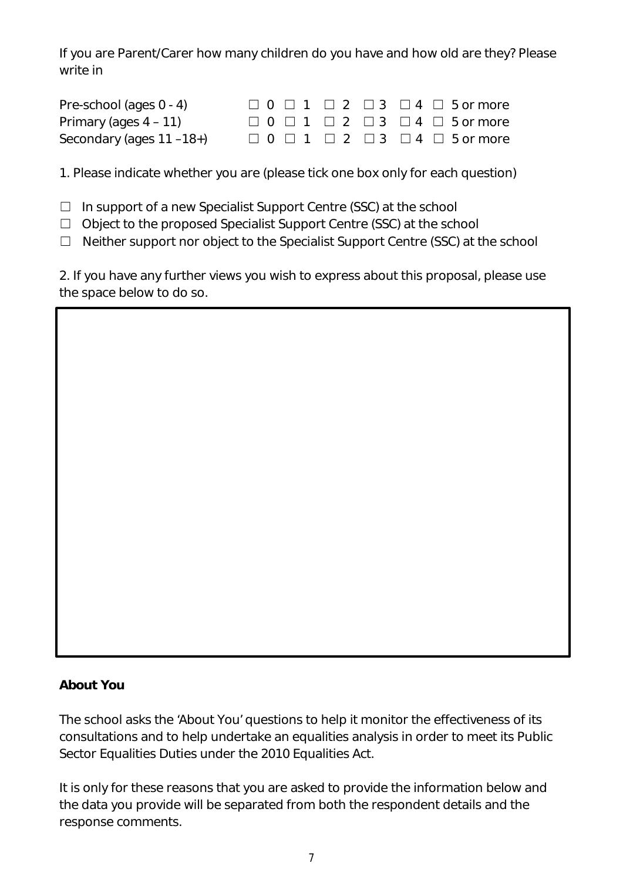If you are Parent/Carer how many children do you have and how old are they? Please write in

| Pre-school (ages 0 - 4)  |  |  | $\Box$ 0 $\Box$ 1 $\Box$ 2 $\Box$ 3 $\Box$ 4 $\Box$ 5 or more |
|--------------------------|--|--|---------------------------------------------------------------|
| Primary (ages $4 - 11$ ) |  |  | $\Box$ 0 $\Box$ 1 $\Box$ 2 $\Box$ 3 $\Box$ 4 $\Box$ 5 or more |
| Secondary (ages 11-18+)  |  |  | $\Box$ 0 $\Box$ 1 $\Box$ 2 $\Box$ 3 $\Box$ 4 $\Box$ 5 or more |

1. Please indicate whether you are (please tick one box only for each question)

 $\Box$  In support of a new Specialist Support Centre (SSC) at the school

☐ Object to the proposed Specialist Support Centre (SSC) at the school

☐ Neither support nor object to the Specialist Support Centre (SSC) at the school

2. If you have any further views you wish to express about this proposal, please use the space below to do so.

#### **About You**

The school asks the 'About You' questions to help it monitor the effectiveness of its consultations and to help undertake an equalities analysis in order to meet its Public Sector Equalities Duties under the 2010 Equalities Act.

It is only for these reasons that you are asked to provide the information below and the data you provide will be separated from both the respondent details and the response comments.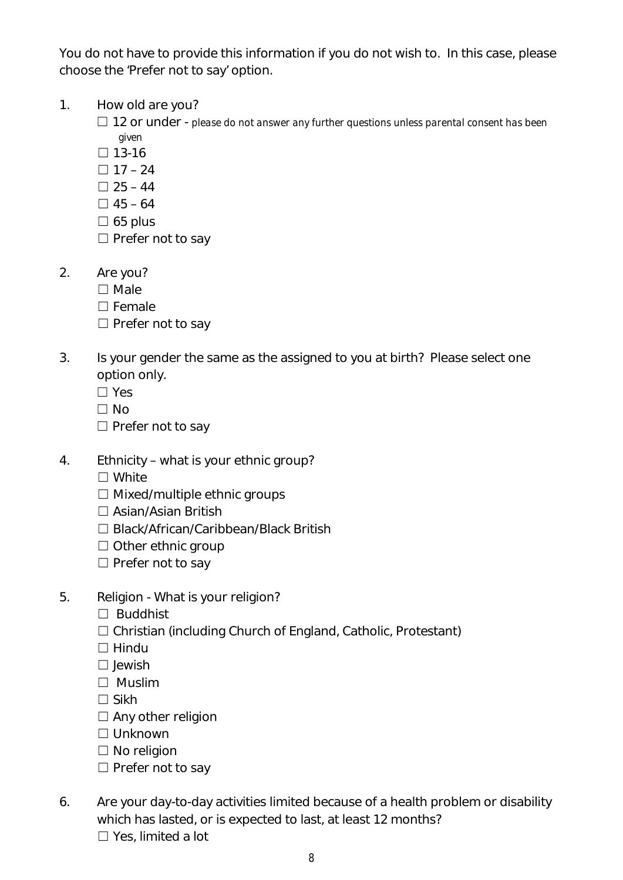You do not have to provide this information if you do not wish to. In this case, please choose the 'Prefer not to say' option.

- 1. How old are you?
	- ☐ 12 or under *please do not answer any further questions unless parental consent has been given*
	- $\square$  13-16
	- $\Box$  17 24
	- $\Box$  25 44
	- $\Box$  45 64
	- $\square$  65 plus
	- □ Prefer not to say
- 2. Are you?
	- ☐ Male
	- ☐ Female
	- □ Prefer not to say
- 3. Is your gender the same as the assigned to you at birth? Please select one option only.
	- ☐ Yes
	- ☐ No
	- □ Prefer not to say
- 4. Ethnicity what is your ethnic group?
	- ☐ White
	- $\Box$  Mixed/multiple ethnic groups
	- ☐ Asian/Asian British
	- ☐ Black/African/Caribbean/Black British
	- ☐ Other ethnic group
	- □ Prefer not to say
- 5. Religion What is your religion?
	- ☐ Buddhist
	- ☐ Christian (including Church of England, Catholic, Protestant)
	- $\Box$  Hindu
	- ☐ Jewish
	- ☐ Muslim
	- $\square$  Sikh
	- $\Box$  Any other religion
	- ☐ Unknown
	- ☐ No religion
	- $\Box$  Prefer not to say
- 6. Are your day-to-day activities limited because of a health problem or disability which has lasted, or is expected to last, at least 12 months? ☐ Yes, limited a lot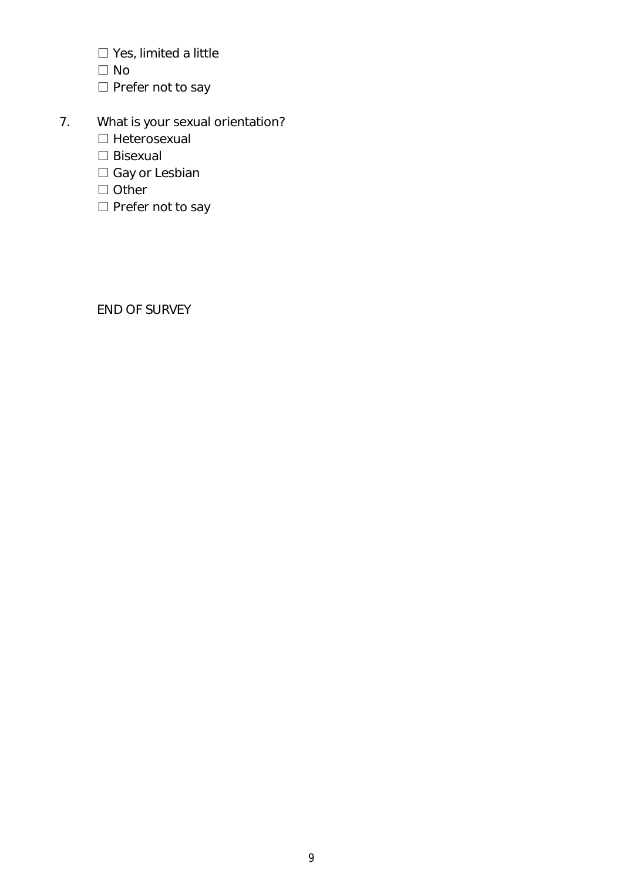- ☐ Yes, limited a little
- $\Box$  No
- □ Prefer not to say
- 7. What is your sexual orientation?
	- ☐ Heterosexual
	- ☐ Bisexual
	- □ Gay or Lesbian
	- ☐ Other
	- □ Prefer not to say

END OF SURVEY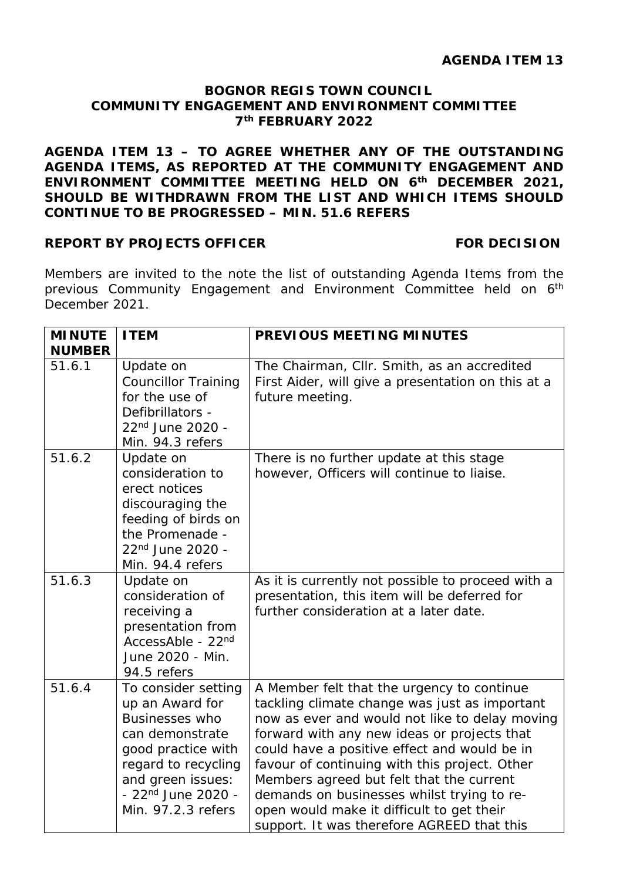#### **BOGNOR REGIS TOWN COUNCIL COMMUNITY ENGAGEMENT AND ENVIRONMENT COMMITTEE 7th FEBRUARY 2022**

**AGENDA ITEM 13 – TO AGREE WHETHER ANY OF THE OUTSTANDING AGENDA ITEMS, AS REPORTED AT THE COMMUNITY ENGAGEMENT AND ENVIRONMENT COMMITTEE MEETING HELD ON 6th DECEMBER 2021, SHOULD BE WITHDRAWN FROM THE LIST AND WHICH ITEMS SHOULD CONTINUE TO BE PROGRESSED – MIN. 51.6 REFERS**

#### **REPORT BY PROJECTS OFFICER FOR DECISION**

Members are invited to the note the list of outstanding Agenda Items from the previous Community Engagement and Environment Committee held on 6<sup>th</sup> December 2021.

| <b>MINUTE</b><br><b>NUMBER</b> | <b>ITEM</b>                                                                                                                                                                                                  | <b>PREVIOUS MEETING MINUTES</b>                                                                                                                                                                                                                                                                                                                                                                                                                                                    |
|--------------------------------|--------------------------------------------------------------------------------------------------------------------------------------------------------------------------------------------------------------|------------------------------------------------------------------------------------------------------------------------------------------------------------------------------------------------------------------------------------------------------------------------------------------------------------------------------------------------------------------------------------------------------------------------------------------------------------------------------------|
| 51.6.1                         | Update on<br><b>Councillor Training</b><br>for the use of<br>Defibrillators -<br>22 <sup>nd</sup> June 2020 -<br>Min. 94.3 refers                                                                            | The Chairman, Cllr. Smith, as an accredited<br>First Aider, will give a presentation on this at a<br>future meeting.                                                                                                                                                                                                                                                                                                                                                               |
| 51.6.2                         | Update on<br>consideration to<br>erect notices<br>discouraging the<br>feeding of birds on<br>the Promenade -<br>22 <sup>nd</sup> June 2020 -<br>Min. 94.4 refers                                             | There is no further update at this stage<br>however, Officers will continue to liaise.                                                                                                                                                                                                                                                                                                                                                                                             |
| 51.6.3                         | Update on<br>consideration of<br>receiving a<br>presentation from<br>AccessAble - 22nd<br>June 2020 - Min.<br>94.5 refers                                                                                    | As it is currently not possible to proceed with a<br>presentation, this item will be deferred for<br>further consideration at a later date.                                                                                                                                                                                                                                                                                                                                        |
| 51.6.4                         | To consider setting<br>up an Award for<br><b>Businesses who</b><br>can demonstrate<br>good practice with<br>regard to recycling<br>and green issues:<br>- 22 <sup>nd</sup> June 2020 -<br>Min. 97.2.3 refers | A Member felt that the urgency to continue<br>tackling climate change was just as important<br>now as ever and would not like to delay moving<br>forward with any new ideas or projects that<br>could have a positive effect and would be in<br>favour of continuing with this project. Other<br>Members agreed but felt that the current<br>demands on businesses whilst trying to re-<br>open would make it difficult to get their<br>support. It was therefore AGREED that this |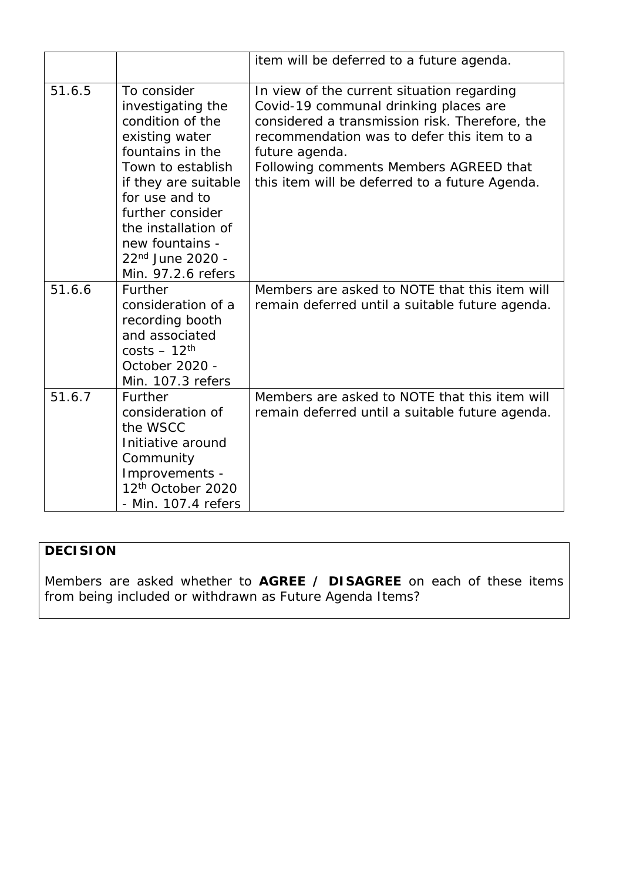|        |                                                                                                                                                                                                                                                                               | item will be deferred to a future agenda.                                                                                                                                                                                                                                                         |
|--------|-------------------------------------------------------------------------------------------------------------------------------------------------------------------------------------------------------------------------------------------------------------------------------|---------------------------------------------------------------------------------------------------------------------------------------------------------------------------------------------------------------------------------------------------------------------------------------------------|
| 51.6.5 | To consider<br>investigating the<br>condition of the<br>existing water<br>fountains in the<br>Town to establish<br>if they are suitable<br>for use and to<br>further consider<br>the installation of<br>new fountains -<br>22 <sup>nd</sup> June 2020 -<br>Min. 97.2.6 refers | In view of the current situation regarding<br>Covid-19 communal drinking places are<br>considered a transmission risk. Therefore, the<br>recommendation was to defer this item to a<br>future agenda.<br>Following comments Members AGREED that<br>this item will be deferred to a future Agenda. |
| 51.6.6 | Further<br>consideration of a<br>recording booth<br>and associated<br>$costs - 12th$<br>October 2020 -<br>Min. 107.3 refers                                                                                                                                                   | Members are asked to NOTE that this item will<br>remain deferred until a suitable future agenda.                                                                                                                                                                                                  |
| 51.6.7 | Further<br>consideration of<br>the WSCC<br>Initiative around<br>Community<br>Improvements -<br>12 <sup>th</sup> October 2020<br>- Min. 107.4 refers                                                                                                                           | Members are asked to NOTE that this item will<br>remain deferred until a suitable future agenda.                                                                                                                                                                                                  |

### **DECISION**

Members are asked whether to **AGREE / DISAGREE** on each of these items from being included or withdrawn as Future Agenda Items?